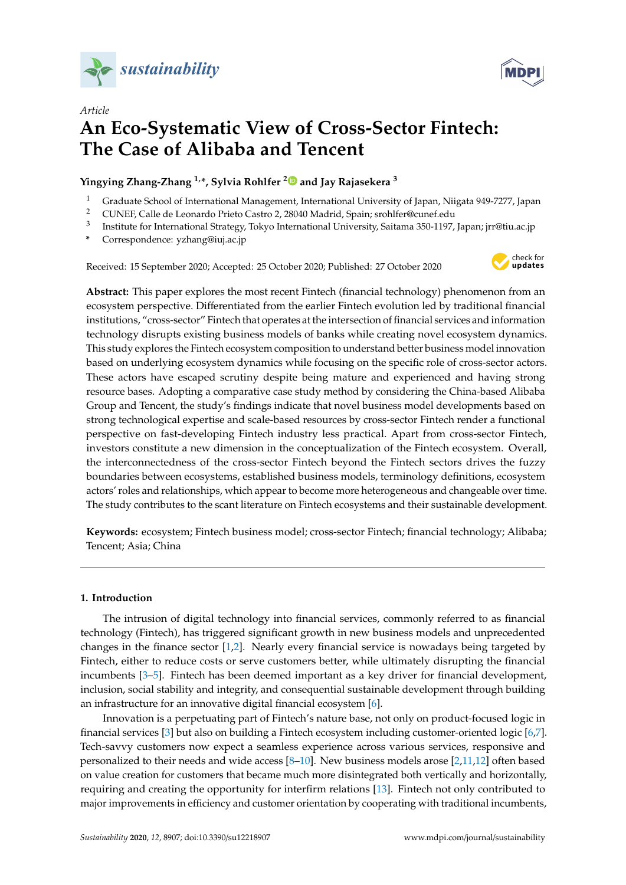



# *Article* **An Eco-Systematic View of Cross-Sector Fintech: The Case of Alibaba and Tencent**

**Yingying Zhang-Zhang 1,\*, Sylvia Rohlfer [2](https://orcid.org/0000-0002-6101-0689) and Jay Rajasekera <sup>3</sup>**

- <sup>1</sup> Graduate School of International Management, International University of Japan, Niigata 949-7277, Japan<br><sup>2</sup> CUNEE Calle de Leonardo Prieto Castro 2, 28040 Madrid, Spain: srohlfer@cunef edu
- <sup>2</sup> CUNEF, Calle de Leonardo Prieto Castro 2, 28040 Madrid, Spain; srohlfer@cunef.edu
- 3 Institute for International Strategy, Tokyo International University, Saitama 350-1197, Japan; jrr@tiu.ac.jp
- **\*** Correspondence: yzhang@iuj.ac.jp

Received: 15 September 2020; Accepted: 25 October 2020; Published: 27 October 2020



**Abstract:** This paper explores the most recent Fintech (financial technology) phenomenon from an ecosystem perspective. Differentiated from the earlier Fintech evolution led by traditional financial institutions, "cross-sector" Fintech that operates at the intersection of financial services and information technology disrupts existing business models of banks while creating novel ecosystem dynamics. This study explores the Fintech ecosystem composition to understand better business model innovation based on underlying ecosystem dynamics while focusing on the specific role of cross-sector actors. These actors have escaped scrutiny despite being mature and experienced and having strong resource bases. Adopting a comparative case study method by considering the China-based Alibaba Group and Tencent, the study's findings indicate that novel business model developments based on strong technological expertise and scale-based resources by cross-sector Fintech render a functional perspective on fast-developing Fintech industry less practical. Apart from cross-sector Fintech, investors constitute a new dimension in the conceptualization of the Fintech ecosystem. Overall, the interconnectedness of the cross-sector Fintech beyond the Fintech sectors drives the fuzzy boundaries between ecosystems, established business models, terminology definitions, ecosystem actors' roles and relationships, which appear to become more heterogeneous and changeable over time. The study contributes to the scant literature on Fintech ecosystems and their sustainable development.

**Keywords:** ecosystem; Fintech business model; cross-sector Fintech; financial technology; Alibaba; Tencent; Asia; China

## **1. Introduction**

The intrusion of digital technology into financial services, commonly referred to as financial technology (Fintech), has triggered significant growth in new business models and unprecedented changes in the finance sector [\[1](#page-20-0)[,2\]](#page-20-1). Nearly every financial service is nowadays being targeted by Fintech, either to reduce costs or serve customers better, while ultimately disrupting the financial incumbents [\[3–](#page-20-2)[5\]](#page-20-3). Fintech has been deemed important as a key driver for financial development, inclusion, social stability and integrity, and consequential sustainable development through building an infrastructure for an innovative digital financial ecosystem [\[6\]](#page-20-4).

Innovation is a perpetuating part of Fintech's nature base, not only on product-focused logic in financial services [\[3\]](#page-20-2) but also on building a Fintech ecosystem including customer-oriented logic [\[6,](#page-20-4)[7\]](#page-20-5). Tech-savvy customers now expect a seamless experience across various services, responsive and personalized to their needs and wide access [\[8](#page-20-6)[–10\]](#page-20-7). New business models arose [\[2](#page-20-1)[,11,](#page-20-8)[12\]](#page-20-9) often based on value creation for customers that became much more disintegrated both vertically and horizontally, requiring and creating the opportunity for interfirm relations [\[13\]](#page-20-10). Fintech not only contributed to major improvements in efficiency and customer orientation by cooperating with traditional incumbents,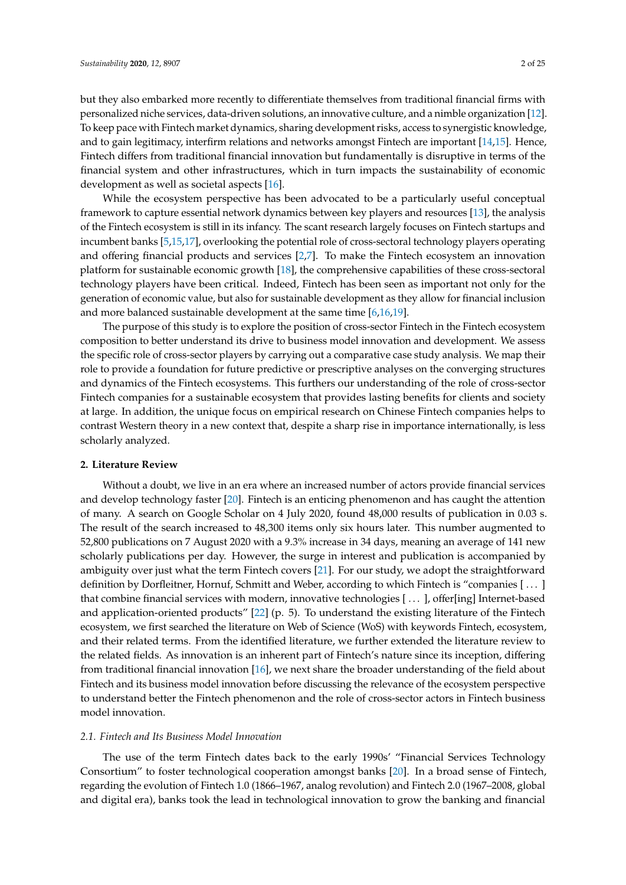but they also embarked more recently to differentiate themselves from traditional financial firms with personalized niche services, data-driven solutions, an innovative culture, and a nimble organization [\[12\]](#page-20-9). To keep pace with Fintech market dynamics, sharing development risks, access to synergistic knowledge, and to gain legitimacy, interfirm relations and networks amongst Fintech are important [\[14](#page-20-11)[,15\]](#page-20-12). Hence, Fintech differs from traditional financial innovation but fundamentally is disruptive in terms of the financial system and other infrastructures, which in turn impacts the sustainability of economic development as well as societal aspects [\[16\]](#page-20-13).

While the ecosystem perspective has been advocated to be a particularly useful conceptual framework to capture essential network dynamics between key players and resources [\[13\]](#page-20-10), the analysis of the Fintech ecosystem is still in its infancy. The scant research largely focuses on Fintech startups and incumbent banks [\[5,](#page-20-3)[15,](#page-20-12)[17\]](#page-20-14), overlooking the potential role of cross-sectoral technology players operating and offering financial products and services [\[2](#page-20-1)[,7\]](#page-20-5). To make the Fintech ecosystem an innovation platform for sustainable economic growth [\[18\]](#page-20-15), the comprehensive capabilities of these cross-sectoral technology players have been critical. Indeed, Fintech has been seen as important not only for the generation of economic value, but also for sustainable development as they allow for financial inclusion and more balanced sustainable development at the same time [\[6,](#page-20-4)[16,](#page-20-13)[19\]](#page-20-16).

The purpose of this study is to explore the position of cross-sector Fintech in the Fintech ecosystem composition to better understand its drive to business model innovation and development. We assess the specific role of cross-sector players by carrying out a comparative case study analysis. We map their role to provide a foundation for future predictive or prescriptive analyses on the converging structures and dynamics of the Fintech ecosystems. This furthers our understanding of the role of cross-sector Fintech companies for a sustainable ecosystem that provides lasting benefits for clients and society at large. In addition, the unique focus on empirical research on Chinese Fintech companies helps to contrast Western theory in a new context that, despite a sharp rise in importance internationally, is less scholarly analyzed.

## **2. Literature Review**

Without a doubt, we live in an era where an increased number of actors provide financial services and develop technology faster [\[20\]](#page-20-17). Fintech is an enticing phenomenon and has caught the attention of many. A search on Google Scholar on 4 July 2020, found 48,000 results of publication in 0.03 s. The result of the search increased to 48,300 items only six hours later. This number augmented to 52,800 publications on 7 August 2020 with a 9.3% increase in 34 days, meaning an average of 141 new scholarly publications per day. However, the surge in interest and publication is accompanied by ambiguity over just what the term Fintech covers [\[21\]](#page-20-18). For our study, we adopt the straightforward definition by Dorfleitner, Hornuf, Schmitt and Weber, according to which Fintech is "companies [ . . . ] that combine financial services with modern, innovative technologies [ . . . ], offer[ing] Internet-based and application-oriented products" [\[22\]](#page-21-0) (p. 5). To understand the existing literature of the Fintech ecosystem, we first searched the literature on Web of Science (WoS) with keywords Fintech, ecosystem, and their related terms. From the identified literature, we further extended the literature review to the related fields. As innovation is an inherent part of Fintech's nature since its inception, differing from traditional financial innovation [\[16\]](#page-20-13), we next share the broader understanding of the field about Fintech and its business model innovation before discussing the relevance of the ecosystem perspective to understand better the Fintech phenomenon and the role of cross-sector actors in Fintech business model innovation.

#### *2.1. Fintech and Its Business Model Innovation*

The use of the term Fintech dates back to the early 1990s' "Financial Services Technology Consortium" to foster technological cooperation amongst banks [\[20\]](#page-20-17). In a broad sense of Fintech, regarding the evolution of Fintech 1.0 (1866–1967, analog revolution) and Fintech 2.0 (1967–2008, global and digital era), banks took the lead in technological innovation to grow the banking and financial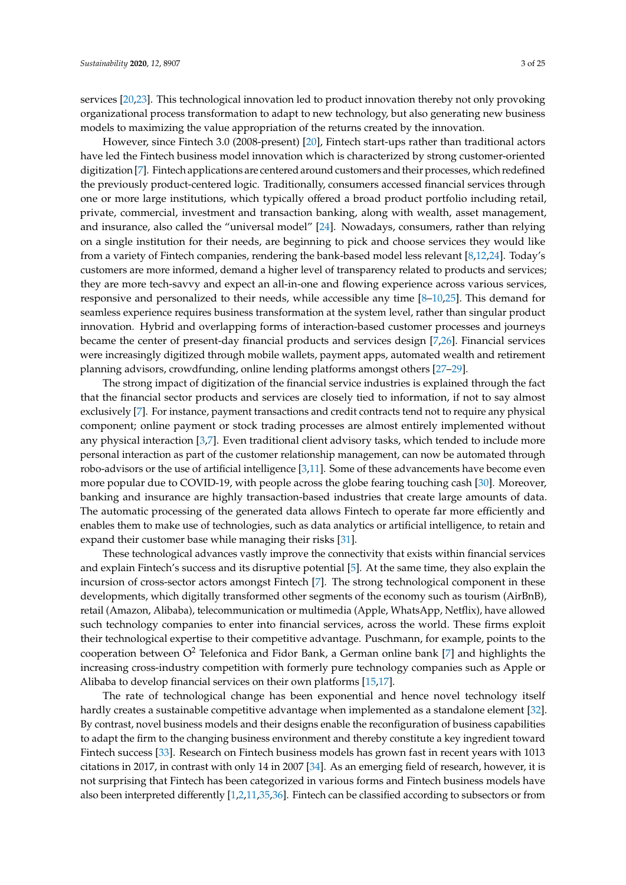services [\[20,](#page-20-17)[23\]](#page-21-1). This technological innovation led to product innovation thereby not only provoking organizational process transformation to adapt to new technology, but also generating new business models to maximizing the value appropriation of the returns created by the innovation.

However, since Fintech 3.0 (2008-present) [\[20\]](#page-20-17), Fintech start-ups rather than traditional actors have led the Fintech business model innovation which is characterized by strong customer-oriented digitization [\[7\]](#page-20-5). Fintech applications are centered around customers and their processes, which redefined the previously product-centered logic. Traditionally, consumers accessed financial services through one or more large institutions, which typically offered a broad product portfolio including retail, private, commercial, investment and transaction banking, along with wealth, asset management, and insurance, also called the "universal model" [\[24\]](#page-21-2). Nowadays, consumers, rather than relying on a single institution for their needs, are beginning to pick and choose services they would like from a variety of Fintech companies, rendering the bank-based model less relevant [\[8](#page-20-6)[,12](#page-20-9)[,24\]](#page-21-2). Today's customers are more informed, demand a higher level of transparency related to products and services; they are more tech-savvy and expect an all-in-one and flowing experience across various services, responsive and personalized to their needs, while accessible any time [\[8](#page-20-6)[–10,](#page-20-7)[25\]](#page-21-3). This demand for seamless experience requires business transformation at the system level, rather than singular product innovation. Hybrid and overlapping forms of interaction-based customer processes and journeys became the center of present-day financial products and services design [\[7,](#page-20-5)[26\]](#page-21-4). Financial services were increasingly digitized through mobile wallets, payment apps, automated wealth and retirement planning advisors, crowdfunding, online lending platforms amongst others [\[27–](#page-21-5)[29\]](#page-21-6).

The strong impact of digitization of the financial service industries is explained through the fact that the financial sector products and services are closely tied to information, if not to say almost exclusively [\[7\]](#page-20-5). For instance, payment transactions and credit contracts tend not to require any physical component; online payment or stock trading processes are almost entirely implemented without any physical interaction [\[3,](#page-20-2)[7\]](#page-20-5). Even traditional client advisory tasks, which tended to include more personal interaction as part of the customer relationship management, can now be automated through robo-advisors or the use of artificial intelligence [\[3](#page-20-2)[,11\]](#page-20-8). Some of these advancements have become even more popular due to COVID-19, with people across the globe fearing touching cash [\[30\]](#page-21-7). Moreover, banking and insurance are highly transaction-based industries that create large amounts of data. The automatic processing of the generated data allows Fintech to operate far more efficiently and enables them to make use of technologies, such as data analytics or artificial intelligence, to retain and expand their customer base while managing their risks [\[31\]](#page-21-8).

These technological advances vastly improve the connectivity that exists within financial services and explain Fintech's success and its disruptive potential [\[5\]](#page-20-3). At the same time, they also explain the incursion of cross-sector actors amongst Fintech [\[7\]](#page-20-5). The strong technological component in these developments, which digitally transformed other segments of the economy such as tourism (AirBnB), retail (Amazon, Alibaba), telecommunication or multimedia (Apple, WhatsApp, Netflix), have allowed such technology companies to enter into financial services, across the world. These firms exploit their technological expertise to their competitive advantage. Puschmann, for example, points to the cooperation between  $O^2$  Telefonica and Fidor Bank, a German online bank [\[7\]](#page-20-5) and highlights the increasing cross-industry competition with formerly pure technology companies such as Apple or Alibaba to develop financial services on their own platforms [\[15,](#page-20-12)[17\]](#page-20-14).

The rate of technological change has been exponential and hence novel technology itself hardly creates a sustainable competitive advantage when implemented as a standalone element [\[32\]](#page-21-9). By contrast, novel business models and their designs enable the reconfiguration of business capabilities to adapt the firm to the changing business environment and thereby constitute a key ingredient toward Fintech success [\[33\]](#page-21-10). Research on Fintech business models has grown fast in recent years with 1013 citations in 2017, in contrast with only 14 in 2007 [\[34\]](#page-21-11). As an emerging field of research, however, it is not surprising that Fintech has been categorized in various forms and Fintech business models have also been interpreted differently [\[1,](#page-20-0)[2](#page-20-1)[,11](#page-20-8)[,35,](#page-21-12)[36\]](#page-21-13). Fintech can be classified according to subsectors or from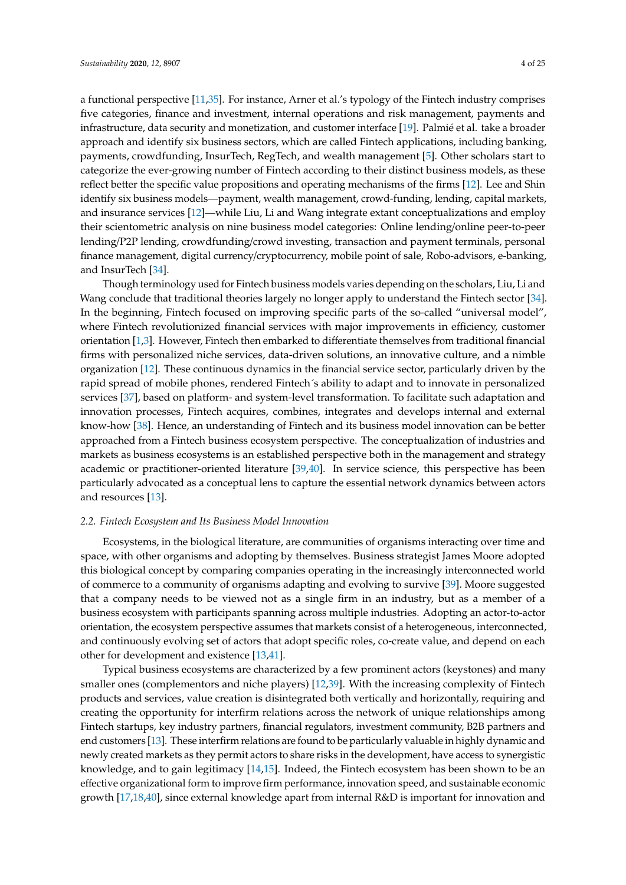a functional perspective [\[11,](#page-20-8)[35\]](#page-21-12). For instance, Arner et al.'s typology of the Fintech industry comprises five categories, finance and investment, internal operations and risk management, payments and infrastructure, data security and monetization, and customer interface [\[19\]](#page-20-16). Palmié et al. take a broader approach and identify six business sectors, which are called Fintech applications, including banking, payments, crowdfunding, InsurTech, RegTech, and wealth management [\[5\]](#page-20-3). Other scholars start to categorize the ever-growing number of Fintech according to their distinct business models, as these reflect better the specific value propositions and operating mechanisms of the firms [\[12\]](#page-20-9). Lee and Shin identify six business models—payment, wealth management, crowd-funding, lending, capital markets, and insurance services [\[12\]](#page-20-9)—while Liu, Li and Wang integrate extant conceptualizations and employ their scientometric analysis on nine business model categories: Online lending/online peer-to-peer lending/P2P lending, crowdfunding/crowd investing, transaction and payment terminals, personal finance management, digital currency/cryptocurrency, mobile point of sale, Robo-advisors, e-banking, and InsurTech [\[34\]](#page-21-11).

Though terminology used for Fintech business models varies depending on the scholars, Liu, Li and Wang conclude that traditional theories largely no longer apply to understand the Fintech sector [\[34\]](#page-21-11). In the beginning, Fintech focused on improving specific parts of the so-called "universal model", where Fintech revolutionized financial services with major improvements in efficiency, customer orientation [\[1](#page-20-0)[,3\]](#page-20-2). However, Fintech then embarked to differentiate themselves from traditional financial firms with personalized niche services, data-driven solutions, an innovative culture, and a nimble organization [\[12\]](#page-20-9). These continuous dynamics in the financial service sector, particularly driven by the rapid spread of mobile phones, rendered Fintech´s ability to adapt and to innovate in personalized services [\[37\]](#page-21-14), based on platform- and system-level transformation. To facilitate such adaptation and innovation processes, Fintech acquires, combines, integrates and develops internal and external know-how [\[38\]](#page-21-15). Hence, an understanding of Fintech and its business model innovation can be better approached from a Fintech business ecosystem perspective. The conceptualization of industries and markets as business ecosystems is an established perspective both in the management and strategy academic or practitioner-oriented literature [\[39,](#page-21-16)[40\]](#page-21-17). In service science, this perspective has been particularly advocated as a conceptual lens to capture the essential network dynamics between actors and resources [\[13\]](#page-20-10).

## *2.2. Fintech Ecosystem and Its Business Model Innovation*

Ecosystems, in the biological literature, are communities of organisms interacting over time and space, with other organisms and adopting by themselves. Business strategist James Moore adopted this biological concept by comparing companies operating in the increasingly interconnected world of commerce to a community of organisms adapting and evolving to survive [\[39\]](#page-21-16). Moore suggested that a company needs to be viewed not as a single firm in an industry, but as a member of a business ecosystem with participants spanning across multiple industries. Adopting an actor-to-actor orientation, the ecosystem perspective assumes that markets consist of a heterogeneous, interconnected, and continuously evolving set of actors that adopt specific roles, co-create value, and depend on each other for development and existence [\[13](#page-20-10)[,41\]](#page-21-18).

Typical business ecosystems are characterized by a few prominent actors (keystones) and many smaller ones (complementors and niche players) [\[12](#page-20-9)[,39\]](#page-21-16). With the increasing complexity of Fintech products and services, value creation is disintegrated both vertically and horizontally, requiring and creating the opportunity for interfirm relations across the network of unique relationships among Fintech startups, key industry partners, financial regulators, investment community, B2B partners and end customers [\[13\]](#page-20-10). These interfirm relations are found to be particularly valuable in highly dynamic and newly created markets as they permit actors to share risks in the development, have access to synergistic knowledge, and to gain legitimacy [\[14](#page-20-11)[,15\]](#page-20-12). Indeed, the Fintech ecosystem has been shown to be an effective organizational form to improve firm performance, innovation speed, and sustainable economic growth [\[17,](#page-20-14)[18,](#page-20-15)[40\]](#page-21-17), since external knowledge apart from internal R&D is important for innovation and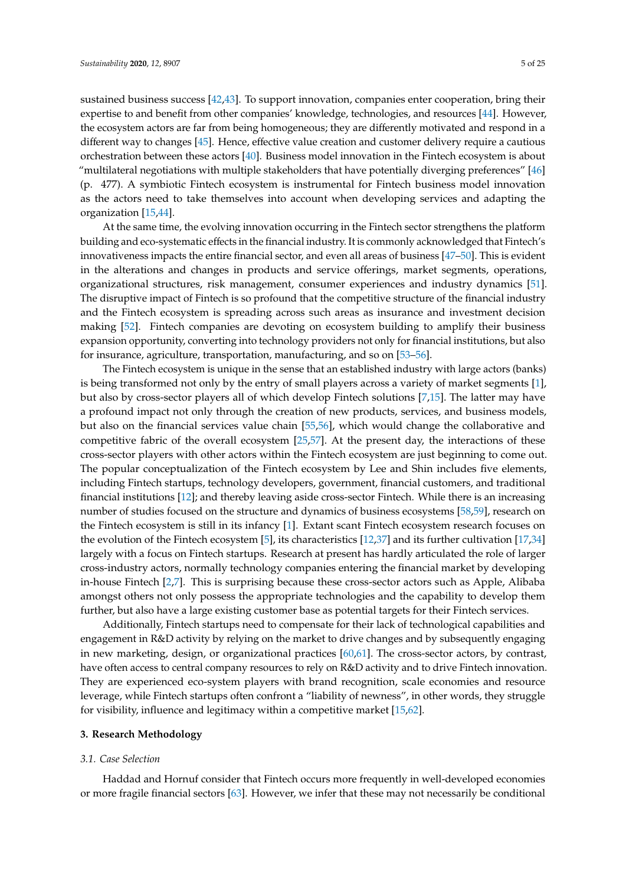sustained business success [\[42,](#page-21-19)[43\]](#page-21-20). To support innovation, companies enter cooperation, bring their expertise to and benefit from other companies' knowledge, technologies, and resources [\[44\]](#page-21-21). However, the ecosystem actors are far from being homogeneous; they are differently motivated and respond in a different way to changes [\[45\]](#page-21-22). Hence, effective value creation and customer delivery require a cautious orchestration between these actors [\[40\]](#page-21-17). Business model innovation in the Fintech ecosystem is about "multilateral negotiations with multiple stakeholders that have potentially diverging preferences" [\[46\]](#page-21-23) (p. 477). A symbiotic Fintech ecosystem is instrumental for Fintech business model innovation as the actors need to take themselves into account when developing services and adapting the organization [\[15,](#page-20-12)[44\]](#page-21-21).

At the same time, the evolving innovation occurring in the Fintech sector strengthens the platform building and eco-systematic effects in the financial industry. It is commonly acknowledged that Fintech's innovativeness impacts the entire financial sector, and even all areas of business [\[47](#page-21-24)[–50\]](#page-22-0). This is evident in the alterations and changes in products and service offerings, market segments, operations, organizational structures, risk management, consumer experiences and industry dynamics [\[51\]](#page-22-1). The disruptive impact of Fintech is so profound that the competitive structure of the financial industry and the Fintech ecosystem is spreading across such areas as insurance and investment decision making [\[52\]](#page-22-2). Fintech companies are devoting on ecosystem building to amplify their business expansion opportunity, converting into technology providers not only for financial institutions, but also for insurance, agriculture, transportation, manufacturing, and so on [\[53](#page-22-3)[–56\]](#page-22-4).

The Fintech ecosystem is unique in the sense that an established industry with large actors (banks) is being transformed not only by the entry of small players across a variety of market segments [\[1\]](#page-20-0), but also by cross-sector players all of which develop Fintech solutions [\[7](#page-20-5)[,15\]](#page-20-12). The latter may have a profound impact not only through the creation of new products, services, and business models, but also on the financial services value chain [\[55,](#page-22-5)[56\]](#page-22-4), which would change the collaborative and competitive fabric of the overall ecosystem [\[25,](#page-21-3)[57\]](#page-22-6). At the present day, the interactions of these cross-sector players with other actors within the Fintech ecosystem are just beginning to come out. The popular conceptualization of the Fintech ecosystem by Lee and Shin includes five elements, including Fintech startups, technology developers, government, financial customers, and traditional financial institutions [\[12\]](#page-20-9); and thereby leaving aside cross-sector Fintech. While there is an increasing number of studies focused on the structure and dynamics of business ecosystems [\[58](#page-22-7)[,59\]](#page-22-8), research on the Fintech ecosystem is still in its infancy [\[1\]](#page-20-0). Extant scant Fintech ecosystem research focuses on the evolution of the Fintech ecosystem [\[5\]](#page-20-3), its characteristics [\[12,](#page-20-9)[37\]](#page-21-14) and its further cultivation [\[17](#page-20-14)[,34\]](#page-21-11) largely with a focus on Fintech startups. Research at present has hardly articulated the role of larger cross-industry actors, normally technology companies entering the financial market by developing in-house Fintech [\[2,](#page-20-1)[7\]](#page-20-5). This is surprising because these cross-sector actors such as Apple, Alibaba amongst others not only possess the appropriate technologies and the capability to develop them further, but also have a large existing customer base as potential targets for their Fintech services.

Additionally, Fintech startups need to compensate for their lack of technological capabilities and engagement in R&D activity by relying on the market to drive changes and by subsequently engaging in new marketing, design, or organizational practices [\[60,](#page-22-9)[61\]](#page-22-10). The cross-sector actors, by contrast, have often access to central company resources to rely on R&D activity and to drive Fintech innovation. They are experienced eco-system players with brand recognition, scale economies and resource leverage, while Fintech startups often confront a "liability of newness", in other words, they struggle for visibility, influence and legitimacy within a competitive market [\[15,](#page-20-12)[62\]](#page-22-11).

## **3. Research Methodology**

#### *3.1. Case Selection*

Haddad and Hornuf consider that Fintech occurs more frequently in well-developed economies or more fragile financial sectors [\[63\]](#page-22-12). However, we infer that these may not necessarily be conditional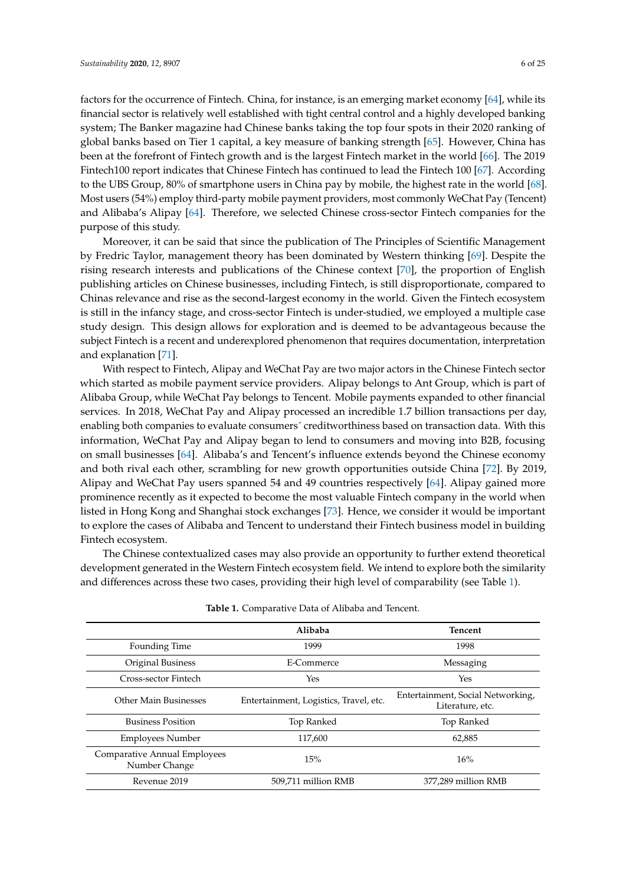factors for the occurrence of Fintech. China, for instance, is an emerging market economy [\[64\]](#page-22-13), while its financial sector is relatively well established with tight central control and a highly developed banking system; The Banker magazine had Chinese banks taking the top four spots in their 2020 ranking of global banks based on Tier 1 capital, a key measure of banking strength [\[65\]](#page-22-14). However, China has been at the forefront of Fintech growth and is the largest Fintech market in the world [\[66\]](#page-22-15). The 2019 Fintech100 report indicates that Chinese Fintech has continued to lead the Fintech 100 [\[67\]](#page-22-16). According to the UBS Group, 80% of smartphone users in China pay by mobile, the highest rate in the world [\[68\]](#page-22-17). Most users (54%) employ third-party mobile payment providers, most commonly WeChat Pay (Tencent) and Alibaba's Alipay [\[64\]](#page-22-13). Therefore, we selected Chinese cross-sector Fintech companies for the purpose of this study.

Moreover, it can be said that since the publication of The Principles of Scientific Management by Fredric Taylor, management theory has been dominated by Western thinking [\[69\]](#page-22-18). Despite the rising research interests and publications of the Chinese context [\[70\]](#page-22-19), the proportion of English publishing articles on Chinese businesses, including Fintech, is still disproportionate, compared to Chinas relevance and rise as the second-largest economy in the world. Given the Fintech ecosystem is still in the infancy stage, and cross-sector Fintech is under-studied, we employed a multiple case study design. This design allows for exploration and is deemed to be advantageous because the subject Fintech is a recent and underexplored phenomenon that requires documentation, interpretation and explanation [\[71\]](#page-22-20).

With respect to Fintech, Alipay and WeChat Pay are two major actors in the Chinese Fintech sector which started as mobile payment service providers. Alipay belongs to Ant Group, which is part of Alibaba Group, while WeChat Pay belongs to Tencent. Mobile payments expanded to other financial services. In 2018, WeChat Pay and Alipay processed an incredible 1.7 billion transactions per day, enabling both companies to evaluate consumers´ creditworthiness based on transaction data. With this information, WeChat Pay and Alipay began to lend to consumers and moving into B2B, focusing on small businesses [\[64\]](#page-22-13). Alibaba's and Tencent's influence extends beyond the Chinese economy and both rival each other, scrambling for new growth opportunities outside China [\[72\]](#page-23-0). By 2019, Alipay and WeChat Pay users spanned 54 and 49 countries respectively [\[64\]](#page-22-13). Alipay gained more prominence recently as it expected to become the most valuable Fintech company in the world when listed in Hong Kong and Shanghai stock exchanges [\[73\]](#page-23-1). Hence, we consider it would be important to explore the cases of Alibaba and Tencent to understand their Fintech business model in building Fintech ecosystem.

The Chinese contextualized cases may also provide an opportunity to further extend theoretical development generated in the Western Fintech ecosystem field. We intend to explore both the similarity and differences across these two cases, providing their high level of comparability (see Table [1\)](#page-6-0).

|                                               | Alibaba                                | <b>Tencent</b>                                        |
|-----------------------------------------------|----------------------------------------|-------------------------------------------------------|
| Founding Time                                 | 1999                                   | 1998                                                  |
| <b>Original Business</b>                      | E-Commerce                             | Messaging                                             |
| Cross-sector Fintech                          | Yes                                    | Yes                                                   |
| Other Main Businesses                         | Entertainment, Logistics, Travel, etc. | Entertainment, Social Networking,<br>Literature, etc. |
| <b>Business Position</b>                      | Top Ranked                             | Top Ranked                                            |
| <b>Employees Number</b>                       | 117,600                                | 62,885                                                |
| Comparative Annual Employees<br>Number Change | 15%                                    | 16%                                                   |
| Revenue 2019                                  | 509,711 million RMB                    | 377,289 million RMB                                   |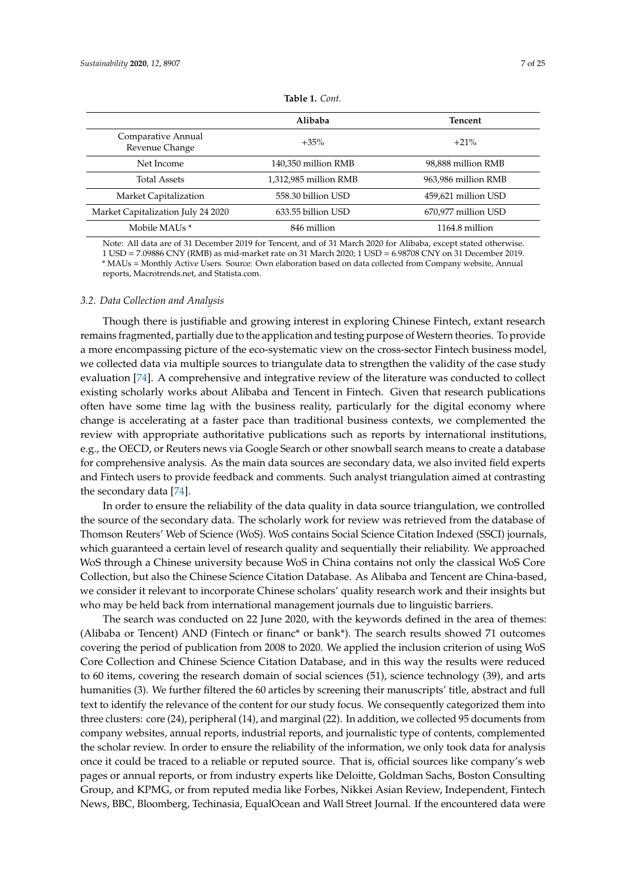<span id="page-6-0"></span>

|                                      | Alibaba               | <b>Tencent</b>      |
|--------------------------------------|-----------------------|---------------------|
| Comparative Annual<br>Revenue Change | $+35%$                | $+21\%$             |
| Net Income                           | 140,350 million RMB   | 98,888 million RMB  |
| <b>Total Assets</b>                  | 1,312,985 million RMB | 963,986 million RMB |
| Market Capitalization                | 558.30 billion USD    | 459,621 million USD |
| Market Capitalization July 24 2020   | 633.55 billion USD    | 670,977 million USD |
| Mobile MAUs <sup>*</sup>             | 846 million           | 1164.8 million      |

**Table 1.** *Cont.*

Note: All data are of 31 December 2019 for Tencent, and of 31 March 2020 for Alibaba, except stated otherwise. 1 USD = 7.09886 CNY (RMB) as mid-market rate on 31 March 2020; 1 USD = 6.98708 CNY on 31 December 2019. \* MAUs = Monthly Active Users. Source: Own elaboration based on data collected from Company website, Annual reports, Macrotrends.net, and Statista.com.

#### *3.2. Data Collection and Analysis*

Though there is justifiable and growing interest in exploring Chinese Fintech, extant research remains fragmented, partially due to the application and testing purpose of Western theories. To provide a more encompassing picture of the eco-systematic view on the cross-sector Fintech business model, we collected data via multiple sources to triangulate data to strengthen the validity of the case study evaluation [\[74\]](#page-23-2). A comprehensive and integrative review of the literature was conducted to collect existing scholarly works about Alibaba and Tencent in Fintech. Given that research publications often have some time lag with the business reality, particularly for the digital economy where change is accelerating at a faster pace than traditional business contexts, we complemented the review with appropriate authoritative publications such as reports by international institutions, e.g., the OECD, or Reuters news via Google Search or other snowball search means to create a database for comprehensive analysis. As the main data sources are secondary data, we also invited field experts and Fintech users to provide feedback and comments. Such analyst triangulation aimed at contrasting the secondary data [\[74\]](#page-23-2).

In order to ensure the reliability of the data quality in data source triangulation, we controlled the source of the secondary data. The scholarly work for review was retrieved from the database of Thomson Reuters' Web of Science (WoS). WoS contains Social Science Citation Indexed (SSCI) journals, which guaranteed a certain level of research quality and sequentially their reliability. We approached WoS through a Chinese university because WoS in China contains not only the classical WoS Core Collection, but also the Chinese Science Citation Database. As Alibaba and Tencent are China-based, we consider it relevant to incorporate Chinese scholars' quality research work and their insights but who may be held back from international management journals due to linguistic barriers.

The search was conducted on 22 June 2020, with the keywords defined in the area of themes: (Alibaba or Tencent) AND (Fintech or financ\* or bank\*). The search results showed 71 outcomes covering the period of publication from 2008 to 2020. We applied the inclusion criterion of using WoS Core Collection and Chinese Science Citation Database, and in this way the results were reduced to 60 items, covering the research domain of social sciences (51), science technology (39), and arts humanities (3). We further filtered the 60 articles by screening their manuscripts' title, abstract and full text to identify the relevance of the content for our study focus. We consequently categorized them into three clusters: core (24), peripheral (14), and marginal (22). In addition, we collected 95 documents from company websites, annual reports, industrial reports, and journalistic type of contents, complemented the scholar review. In order to ensure the reliability of the information, we only took data for analysis once it could be traced to a reliable or reputed source. That is, official sources like company's web pages or annual reports, or from industry experts like Deloitte, Goldman Sachs, Boston Consulting Group, and KPMG, or from reputed media like Forbes, Nikkei Asian Review, Independent, Fintech News, BBC, Bloomberg, Techinasia, EqualOcean and Wall Street Journal. If the encountered data were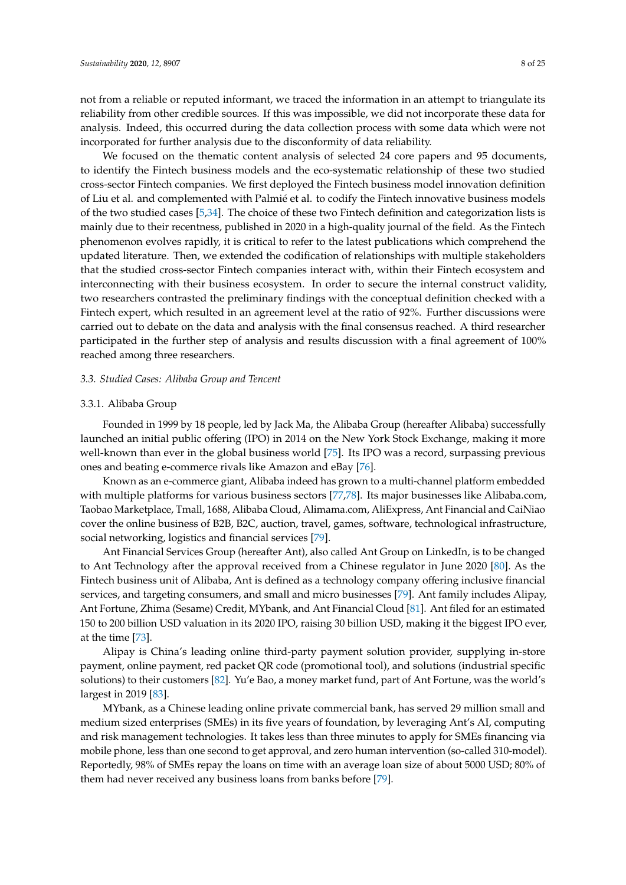not from a reliable or reputed informant, we traced the information in an attempt to triangulate its reliability from other credible sources. If this was impossible, we did not incorporate these data for analysis. Indeed, this occurred during the data collection process with some data which were not incorporated for further analysis due to the disconformity of data reliability.

We focused on the thematic content analysis of selected 24 core papers and 95 documents, to identify the Fintech business models and the eco-systematic relationship of these two studied cross-sector Fintech companies. We first deployed the Fintech business model innovation definition of Liu et al. and complemented with Palmié et al. to codify the Fintech innovative business models of the two studied cases [\[5,](#page-20-3)[34\]](#page-21-11). The choice of these two Fintech definition and categorization lists is mainly due to their recentness, published in 2020 in a high-quality journal of the field. As the Fintech phenomenon evolves rapidly, it is critical to refer to the latest publications which comprehend the updated literature. Then, we extended the codification of relationships with multiple stakeholders that the studied cross-sector Fintech companies interact with, within their Fintech ecosystem and interconnecting with their business ecosystem. In order to secure the internal construct validity, two researchers contrasted the preliminary findings with the conceptual definition checked with a Fintech expert, which resulted in an agreement level at the ratio of 92%. Further discussions were carried out to debate on the data and analysis with the final consensus reached. A third researcher participated in the further step of analysis and results discussion with a final agreement of 100% reached among three researchers.

#### *3.3. Studied Cases: Alibaba Group and Tencent*

#### 3.3.1. Alibaba Group

Founded in 1999 by 18 people, led by Jack Ma, the Alibaba Group (hereafter Alibaba) successfully launched an initial public offering (IPO) in 2014 on the New York Stock Exchange, making it more well-known than ever in the global business world [\[75\]](#page-23-3). Its IPO was a record, surpassing previous ones and beating e-commerce rivals like Amazon and eBay [\[76\]](#page-23-4).

Known as an e-commerce giant, Alibaba indeed has grown to a multi-channel platform embedded with multiple platforms for various business sectors [\[77,](#page-23-5)[78\]](#page-23-6). Its major businesses like Alibaba.com, Taobao Marketplace, Tmall, 1688, Alibaba Cloud, Alimama.com, AliExpress, Ant Financial and CaiNiao cover the online business of B2B, B2C, auction, travel, games, software, technological infrastructure, social networking, logistics and financial services [\[79\]](#page-23-7).

Ant Financial Services Group (hereafter Ant), also called Ant Group on LinkedIn, is to be changed to Ant Technology after the approval received from a Chinese regulator in June 2020 [\[80\]](#page-23-8). As the Fintech business unit of Alibaba, Ant is defined as a technology company offering inclusive financial services, and targeting consumers, and small and micro businesses [\[79\]](#page-23-7). Ant family includes Alipay, Ant Fortune, Zhima (Sesame) Credit, MYbank, and Ant Financial Cloud [\[81\]](#page-23-9). Ant filed for an estimated 150 to 200 billion USD valuation in its 2020 IPO, raising 30 billion USD, making it the biggest IPO ever, at the time [\[73\]](#page-23-1).

Alipay is China's leading online third-party payment solution provider, supplying in-store payment, online payment, red packet QR code (promotional tool), and solutions (industrial specific solutions) to their customers [\[82\]](#page-23-10). Yu'e Bao, a money market fund, part of Ant Fortune, was the world's largest in 2019 [\[83\]](#page-23-11).

MYbank, as a Chinese leading online private commercial bank, has served 29 million small and medium sized enterprises (SMEs) in its five years of foundation, by leveraging Ant's AI, computing and risk management technologies. It takes less than three minutes to apply for SMEs financing via mobile phone, less than one second to get approval, and zero human intervention (so-called 310-model). Reportedly, 98% of SMEs repay the loans on time with an average loan size of about 5000 USD; 80% of them had never received any business loans from banks before [\[79\]](#page-23-7).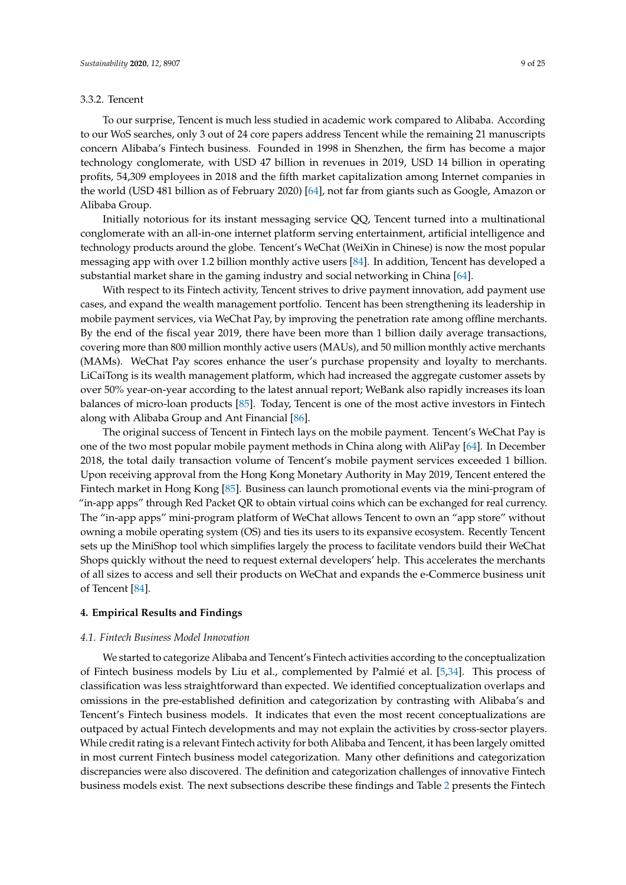## 3.3.2. Tencent

To our surprise, Tencent is much less studied in academic work compared to Alibaba. According to our WoS searches, only 3 out of 24 core papers address Tencent while the remaining 21 manuscripts concern Alibaba's Fintech business. Founded in 1998 in Shenzhen, the firm has become a major technology conglomerate, with USD 47 billion in revenues in 2019, USD 14 billion in operating profits, 54,309 employees in 2018 and the fifth market capitalization among Internet companies in the world (USD 481 billion as of February 2020) [\[64\]](#page-22-13), not far from giants such as Google, Amazon or Alibaba Group.

Initially notorious for its instant messaging service QQ, Tencent turned into a multinational conglomerate with an all-in-one internet platform serving entertainment, artificial intelligence and technology products around the globe. Tencent's WeChat (WeiXin in Chinese) is now the most popular messaging app with over 1.2 billion monthly active users [\[84\]](#page-23-12). In addition, Tencent has developed a substantial market share in the gaming industry and social networking in China [\[64\]](#page-22-13).

With respect to its Fintech activity, Tencent strives to drive payment innovation, add payment use cases, and expand the wealth management portfolio. Tencent has been strengthening its leadership in mobile payment services, via WeChat Pay, by improving the penetration rate among offline merchants. By the end of the fiscal year 2019, there have been more than 1 billion daily average transactions, covering more than 800 million monthly active users (MAUs), and 50 million monthly active merchants (MAMs). WeChat Pay scores enhance the user's purchase propensity and loyalty to merchants. LiCaiTong is its wealth management platform, which had increased the aggregate customer assets by over 50% year-on-year according to the latest annual report; WeBank also rapidly increases its loan balances of micro-loan products [\[85\]](#page-23-13). Today, Tencent is one of the most active investors in Fintech along with Alibaba Group and Ant Financial [\[86\]](#page-23-14).

The original success of Tencent in Fintech lays on the mobile payment. Tencent's WeChat Pay is one of the two most popular mobile payment methods in China along with AliPay [\[64\]](#page-22-13). In December 2018, the total daily transaction volume of Tencent's mobile payment services exceeded 1 billion. Upon receiving approval from the Hong Kong Monetary Authority in May 2019, Tencent entered the Fintech market in Hong Kong [\[85\]](#page-23-13). Business can launch promotional events via the mini-program of "in-app apps" through Red Packet QR to obtain virtual coins which can be exchanged for real currency. The "in-app apps" mini-program platform of WeChat allows Tencent to own an "app store" without owning a mobile operating system (OS) and ties its users to its expansive ecosystem. Recently Tencent sets up the MiniShop tool which simplifies largely the process to facilitate vendors build their WeChat Shops quickly without the need to request external developers' help. This accelerates the merchants of all sizes to access and sell their products on WeChat and expands the e-Commerce business unit of Tencent [\[84\]](#page-23-12).

## **4. Empirical Results and Findings**

## <span id="page-8-0"></span>*4.1. Fintech Business Model Innovation*

We started to categorize Alibaba and Tencent's Fintech activities according to the conceptualization of Fintech business models by Liu et al., complemented by Palmié et al. [\[5,](#page-20-3)[34\]](#page-21-11). This process of classification was less straightforward than expected. We identified conceptualization overlaps and omissions in the pre-established definition and categorization by contrasting with Alibaba's and Tencent's Fintech business models. It indicates that even the most recent conceptualizations are outpaced by actual Fintech developments and may not explain the activities by cross-sector players. While credit rating is a relevant Fintech activity for both Alibaba and Tencent, it has been largely omitted in most current Fintech business model categorization. Many other definitions and categorization discrepancies were also discovered. The definition and categorization challenges of innovative Fintech business models exist. The next subsections describe these findings and Table [2](#page-9-0) presents the Fintech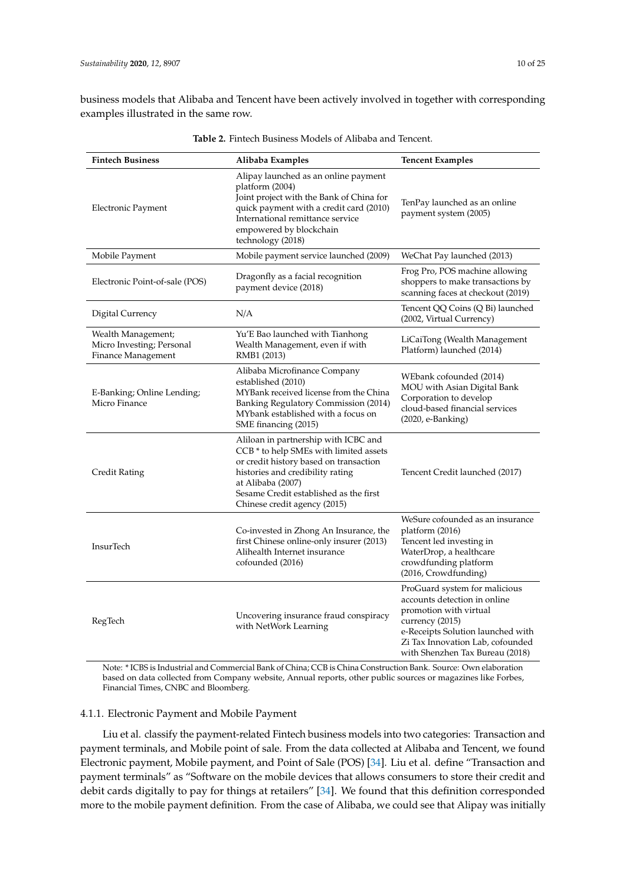business models that Alibaba and Tencent have been actively involved in together with corresponding examples illustrated in the same row.

<span id="page-9-0"></span>

| <b>Fintech Business</b>                                               | Alibaba Examples                                                                                                                                                                                                                                                       | <b>Tencent Examples</b>                                                                                                                                                                                                |
|-----------------------------------------------------------------------|------------------------------------------------------------------------------------------------------------------------------------------------------------------------------------------------------------------------------------------------------------------------|------------------------------------------------------------------------------------------------------------------------------------------------------------------------------------------------------------------------|
| Electronic Payment                                                    | Alipay launched as an online payment<br>platform (2004)<br>Joint project with the Bank of China for<br>quick payment with a credit card (2010)<br>International remittance service<br>empowered by blockchain<br>technology (2018)                                     | TenPay launched as an online<br>payment system (2005)                                                                                                                                                                  |
| Mobile Payment                                                        | Mobile payment service launched (2009)                                                                                                                                                                                                                                 | WeChat Pay launched (2013)                                                                                                                                                                                             |
| Electronic Point-of-sale (POS)                                        | Dragonfly as a facial recognition<br>payment device (2018)                                                                                                                                                                                                             | Frog Pro, POS machine allowing<br>shoppers to make transactions by<br>scanning faces at checkout (2019)                                                                                                                |
| Digital Currency                                                      | N/A                                                                                                                                                                                                                                                                    | Tencent QQ Coins (Q Bi) launched<br>(2002, Virtual Currency)                                                                                                                                                           |
| Wealth Management;<br>Micro Investing; Personal<br>Finance Management | Yu'E Bao launched with Tianhong<br>Wealth Management, even if with<br>RMB1 (2013)                                                                                                                                                                                      | LiCaiTong (Wealth Management<br>Platform) launched (2014)                                                                                                                                                              |
| E-Banking; Online Lending;<br>Micro Finance                           | Alibaba Microfinance Company<br>established (2010)<br>MYBank received license from the China<br>Banking Regulatory Commission (2014)<br>MYbank established with a focus on<br>SME financing (2015)                                                                     | WEbank cofounded (2014)<br>MOU with Asian Digital Bank<br>Corporation to develop<br>cloud-based financial services<br>$(2020, e-Banking)$                                                                              |
| Credit Rating                                                         | Aliloan in partnership with ICBC and<br>CCB <sup>*</sup> to help SMEs with limited assets<br>or credit history based on transaction<br>histories and credibility rating<br>at Alibaba (2007)<br>Sesame Credit established as the first<br>Chinese credit agency (2015) | Tencent Credit launched (2017)                                                                                                                                                                                         |
| <b>InsurTech</b>                                                      | Co-invested in Zhong An Insurance, the<br>first Chinese online-only insurer (2013)<br>Alihealth Internet insurance<br>cofounded (2016)                                                                                                                                 | WeSure cofounded as an insurance<br>platform (2016)<br>Tencent led investing in<br>WaterDrop, a healthcare<br>crowdfunding platform<br>(2016, Crowdfunding)                                                            |
| RegTech                                                               | Uncovering insurance fraud conspiracy<br>with NetWork Learning                                                                                                                                                                                                         | ProGuard system for malicious<br>accounts detection in online<br>promotion with virtual<br>currency (2015)<br>e-Receipts Solution launched with<br>Zi Tax Innovation Lab, cofounded<br>with Shenzhen Tax Bureau (2018) |

| <b>Table 2.</b> Fintech Business Models of Alibaba and Tencent. |  |  |
|-----------------------------------------------------------------|--|--|
|-----------------------------------------------------------------|--|--|

Note: \* ICBS is Industrial and Commercial Bank of China; CCB is China Construction Bank. Source: Own elaboration based on data collected from Company website, Annual reports, other public sources or magazines like Forbes, Financial Times, CNBC and Bloomberg.

## 4.1.1. Electronic Payment and Mobile Payment

Liu et al. classify the payment-related Fintech business models into two categories: Transaction and payment terminals, and Mobile point of sale. From the data collected at Alibaba and Tencent, we found Electronic payment, Mobile payment, and Point of Sale (POS) [\[34\]](#page-21-11). Liu et al. define "Transaction and payment terminals" as "Software on the mobile devices that allows consumers to store their credit and debit cards digitally to pay for things at retailers" [\[34\]](#page-21-11). We found that this definition corresponded more to the mobile payment definition. From the case of Alibaba, we could see that Alipay was initially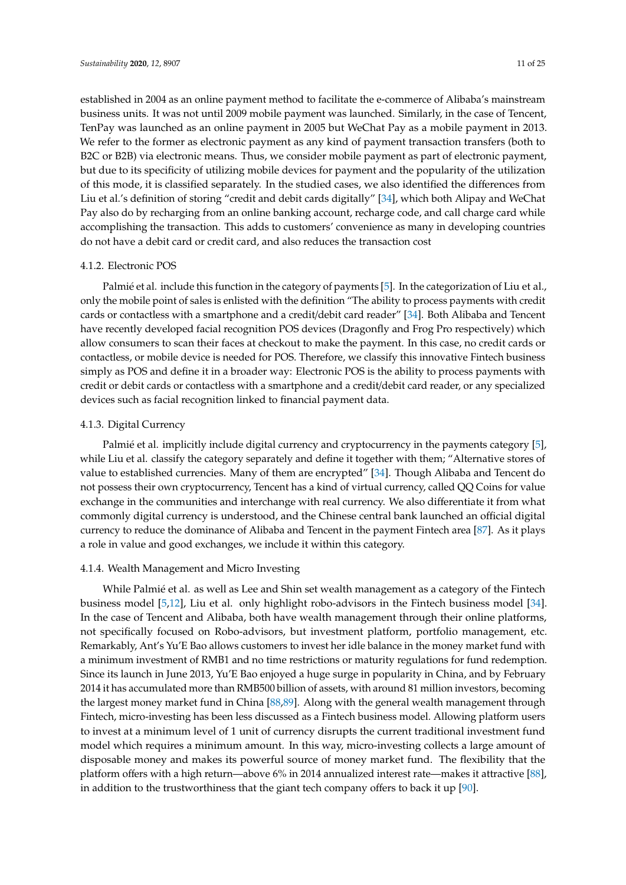established in 2004 as an online payment method to facilitate the e-commerce of Alibaba's mainstream business units. It was not until 2009 mobile payment was launched. Similarly, in the case of Tencent, TenPay was launched as an online payment in 2005 but WeChat Pay as a mobile payment in 2013. We refer to the former as electronic payment as any kind of payment transaction transfers (both to B2C or B2B) via electronic means. Thus, we consider mobile payment as part of electronic payment, but due to its specificity of utilizing mobile devices for payment and the popularity of the utilization of this mode, it is classified separately. In the studied cases, we also identified the differences from Liu et al.'s definition of storing "credit and debit cards digitally" [\[34\]](#page-21-11), which both Alipay and WeChat Pay also do by recharging from an online banking account, recharge code, and call charge card while accomplishing the transaction. This adds to customers' convenience as many in developing countries do not have a debit card or credit card, and also reduces the transaction cost

## 4.1.2. Electronic POS

Palmié et al. include this function in the category of payments [\[5\]](#page-20-3). In the categorization of Liu et al., only the mobile point of sales is enlisted with the definition "The ability to process payments with credit cards or contactless with a smartphone and a credit/debit card reader" [\[34\]](#page-21-11). Both Alibaba and Tencent have recently developed facial recognition POS devices (Dragonfly and Frog Pro respectively) which allow consumers to scan their faces at checkout to make the payment. In this case, no credit cards or contactless, or mobile device is needed for POS. Therefore, we classify this innovative Fintech business simply as POS and define it in a broader way: Electronic POS is the ability to process payments with credit or debit cards or contactless with a smartphone and a credit/debit card reader, or any specialized devices such as facial recognition linked to financial payment data.

#### 4.1.3. Digital Currency

Palmié et al. implicitly include digital currency and cryptocurrency in the payments category [\[5\]](#page-20-3), while Liu et al. classify the category separately and define it together with them; "Alternative stores of value to established currencies. Many of them are encrypted" [\[34\]](#page-21-11). Though Alibaba and Tencent do not possess their own cryptocurrency, Tencent has a kind of virtual currency, called QQ Coins for value exchange in the communities and interchange with real currency. We also differentiate it from what commonly digital currency is understood, and the Chinese central bank launched an official digital currency to reduce the dominance of Alibaba and Tencent in the payment Fintech area [\[87\]](#page-23-15). As it plays a role in value and good exchanges, we include it within this category.

## 4.1.4. Wealth Management and Micro Investing

While Palmié et al. as well as Lee and Shin set wealth management as a category of the Fintech business model [\[5,](#page-20-3)[12\]](#page-20-9), Liu et al. only highlight robo-advisors in the Fintech business model [\[34\]](#page-21-11). In the case of Tencent and Alibaba, both have wealth management through their online platforms, not specifically focused on Robo-advisors, but investment platform, portfolio management, etc. Remarkably, Ant's Yu'E Bao allows customers to invest her idle balance in the money market fund with a minimum investment of RMB1 and no time restrictions or maturity regulations for fund redemption. Since its launch in June 2013, Yu'E Bao enjoyed a huge surge in popularity in China, and by February 2014 it has accumulated more than RMB500 billion of assets, with around 81 million investors, becoming the largest money market fund in China [\[88](#page-23-16)[,89\]](#page-23-17). Along with the general wealth management through Fintech, micro-investing has been less discussed as a Fintech business model. Allowing platform users to invest at a minimum level of 1 unit of currency disrupts the current traditional investment fund model which requires a minimum amount. In this way, micro-investing collects a large amount of disposable money and makes its powerful source of money market fund. The flexibility that the platform offers with a high return—above 6% in 2014 annualized interest rate—makes it attractive [\[88\]](#page-23-16), in addition to the trustworthiness that the giant tech company offers to back it up [\[90\]](#page-23-18).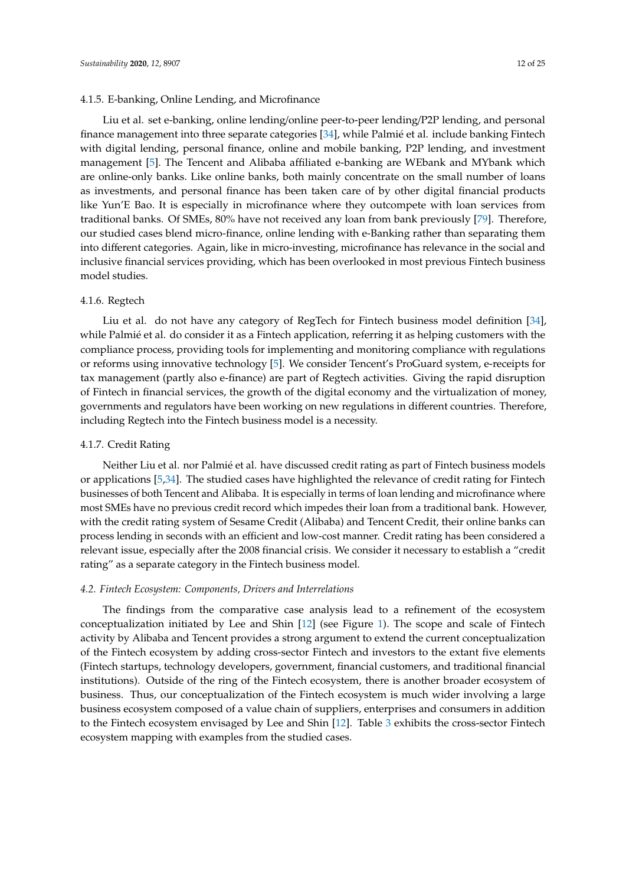Liu et al. set e-banking, online lending/online peer-to-peer lending/P2P lending, and personal finance management into three separate categories [\[34\]](#page-21-11), while Palmié et al. include banking Fintech with digital lending, personal finance, online and mobile banking, P2P lending, and investment management [\[5\]](#page-20-3). The Tencent and Alibaba affiliated e-banking are WEbank and MYbank which are online-only banks. Like online banks, both mainly concentrate on the small number of loans as investments, and personal finance has been taken care of by other digital financial products like Yun'E Bao. It is especially in microfinance where they outcompete with loan services from traditional banks. Of SMEs, 80% have not received any loan from bank previously [\[79\]](#page-23-7). Therefore, our studied cases blend micro-finance, online lending with e-Banking rather than separating them into different categories. Again, like in micro-investing, microfinance has relevance in the social and inclusive financial services providing, which has been overlooked in most previous Fintech business model studies.

#### 4.1.6. Regtech

Liu et al. do not have any category of RegTech for Fintech business model definition [\[34\]](#page-21-11), while Palmié et al. do consider it as a Fintech application, referring it as helping customers with the compliance process, providing tools for implementing and monitoring compliance with regulations or reforms using innovative technology [\[5\]](#page-20-3). We consider Tencent's ProGuard system, e-receipts for tax management (partly also e-finance) are part of Regtech activities. Giving the rapid disruption of Fintech in financial services, the growth of the digital economy and the virtualization of money, governments and regulators have been working on new regulations in different countries. Therefore, including Regtech into the Fintech business model is a necessity.

#### 4.1.7. Credit Rating

Neither Liu et al. nor Palmié et al. have discussed credit rating as part of Fintech business models or applications [\[5,](#page-20-3)[34\]](#page-21-11). The studied cases have highlighted the relevance of credit rating for Fintech businesses of both Tencent and Alibaba. It is especially in terms of loan lending and microfinance where most SMEs have no previous credit record which impedes their loan from a traditional bank. However, with the credit rating system of Sesame Credit (Alibaba) and Tencent Credit, their online banks can process lending in seconds with an efficient and low-cost manner. Credit rating has been considered a relevant issue, especially after the 2008 financial crisis. We consider it necessary to establish a "credit rating" as a separate category in the Fintech business model.

#### *4.2. Fintech Ecosystem: Components, Drivers and Interrelations*

The findings from the comparative case analysis lead to a refinement of the ecosystem conceptualization initiated by Lee and Shin [\[12\]](#page-20-9) (see Figure [1\)](#page-12-0). The scope and scale of Fintech activity by Alibaba and Tencent provides a strong argument to extend the current conceptualization of the Fintech ecosystem by adding cross-sector Fintech and investors to the extant five elements (Fintech startups, technology developers, government, financial customers, and traditional financial institutions). Outside of the ring of the Fintech ecosystem, there is another broader ecosystem of business. Thus, our conceptualization of the Fintech ecosystem is much wider involving a large business ecosystem composed of a value chain of suppliers, enterprises and consumers in addition to the Fintech ecosystem envisaged by Lee and Shin [\[12\]](#page-20-9). Table [3](#page-13-0) exhibits the cross-sector Fintech ecosystem mapping with examples from the studied cases.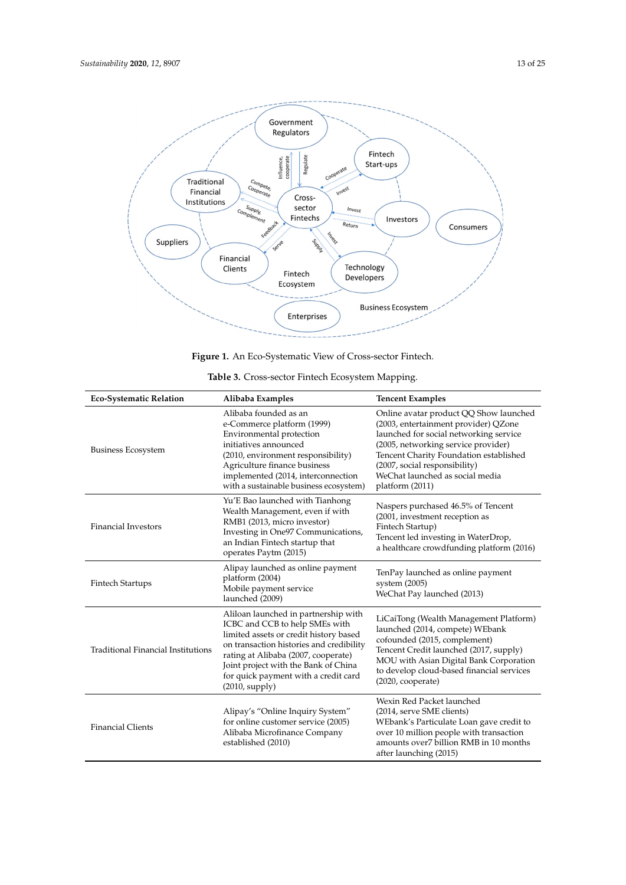<span id="page-12-0"></span>

**Figure 1.** An Eco-Systematic View of Cross-sector Fintech. **Figure 1.** An Eco-Systematic View of Cross-sector Fintech.

| <b>Eco-Systematic Relation</b>     | Alibaba Examples                                                                                                                                                                                                                                                                                               | <b>Tencent Examples</b>                                                                                                                                                                                                                                                                          |
|------------------------------------|----------------------------------------------------------------------------------------------------------------------------------------------------------------------------------------------------------------------------------------------------------------------------------------------------------------|--------------------------------------------------------------------------------------------------------------------------------------------------------------------------------------------------------------------------------------------------------------------------------------------------|
| <b>Business Ecosystem</b>          | Alibaba founded as an<br>e-Commerce platform (1999)<br>Environmental protection<br>initiatives announced<br>(2010, environment responsibility)<br>Agriculture finance business<br>implemented (2014, interconnection<br>with a sustainable business ecosystem)                                                 | Online avatar product QQ Show launched<br>(2003, entertainment provider) QZone<br>launched for social networking service<br>(2005, networking service provider)<br>Tencent Charity Foundation established<br>(2007, social responsibility)<br>WeChat launched as social media<br>platform (2011) |
| <b>Financial Investors</b>         | Yu'E Bao launched with Tianhong<br>Wealth Management, even if with<br>RMB1 (2013, micro investor)<br>Investing in One97 Communications,<br>an Indian Fintech startup that<br>operates Paytm (2015)                                                                                                             | Naspers purchased 46.5% of Tencent<br>(2001, investment reception as<br>Fintech Startup)<br>Tencent led investing in WaterDrop,<br>a healthcare crowdfunding platform (2016)                                                                                                                     |
| <b>Fintech Startups</b>            | Alipay launched as online payment<br>platform (2004)<br>Mobile payment service<br>launched (2009)                                                                                                                                                                                                              | TenPay launched as online payment<br>system $(2005)$<br>WeChat Pay launched (2013)                                                                                                                                                                                                               |
| Traditional Financial Institutions | Aliloan launched in partnership with<br>ICBC and CCB to help SMEs with<br>limited assets or credit history based<br>on transaction histories and credibility<br>rating at Alibaba (2007, cooperate)<br>Joint project with the Bank of China<br>for quick payment with a credit card<br>$(2010, \text{supply})$ | LiCaiTong (Wealth Management Platform)<br>launched (2014, compete) WEbank<br>cofounded (2015, complement)<br>Tencent Credit launched (2017, supply)<br>MOU with Asian Digital Bank Corporation<br>to develop cloud-based financial services<br>(2020, cooperate)                                 |
| <b>Financial Clients</b>           | Alipay's "Online Inquiry System"<br>for online customer service (2005)<br>Alibaba Microfinance Company<br>established (2010)                                                                                                                                                                                   | Wexin Red Packet launched<br>(2014, serve SME clients)<br>WEbank's Particulate Loan gave credit to<br>over 10 million people with transaction<br>amounts over 7 billion RMB in 10 months<br>after launching (2015)                                                                               |

other than China and India. Both have market capitalization higher than 500 billion USD in July 2020,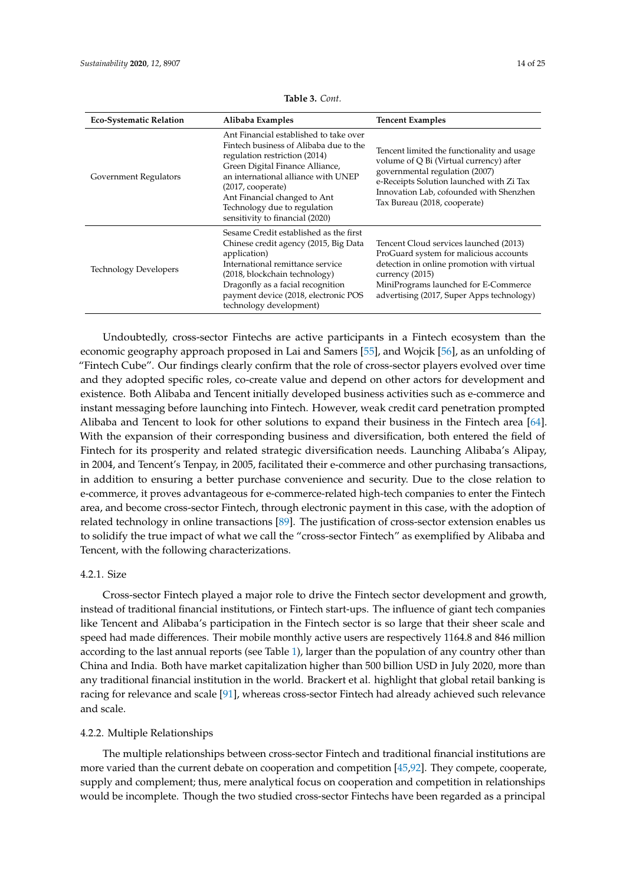<span id="page-13-0"></span>

| <b>Eco-Systematic Relation</b> | Alibaba Examples                                                                                                                                                                                                                                                                                                      | <b>Tencent Examples</b>                                                                                                                                                                                                                         |
|--------------------------------|-----------------------------------------------------------------------------------------------------------------------------------------------------------------------------------------------------------------------------------------------------------------------------------------------------------------------|-------------------------------------------------------------------------------------------------------------------------------------------------------------------------------------------------------------------------------------------------|
| Government Regulators          | Ant Financial established to take over<br>Fintech business of Alibaba due to the<br>regulation restriction (2014)<br>Green Digital Finance Alliance,<br>an international alliance with UNEP<br>$(2017,$ cooperate)<br>Ant Financial changed to Ant<br>Technology due to regulation<br>sensitivity to financial (2020) | Tencent limited the functionality and usage<br>volume of Q Bi (Virtual currency) after<br>governmental regulation (2007)<br>e-Receipts Solution launched with Zi Tax<br>Innovation Lab, cofounded with Shenzhen<br>Tax Bureau (2018, cooperate) |
| <b>Technology Developers</b>   | Sesame Credit established as the first<br>Chinese credit agency (2015, Big Data<br>application)<br>International remittance service<br>(2018, blockchain technology)<br>Dragonfly as a facial recognition<br>payment device (2018, electronic POS<br>technology development)                                          | Tencent Cloud services launched (2013)<br>ProGuard system for malicious accounts<br>detection in online promotion with virtual<br>currency $(2015)$<br>MiniPrograms launched for E-Commerce<br>advertising (2017, Super Apps technology)        |

**Table 3.** *Cont.*

Undoubtedly, cross-sector Fintechs are active participants in a Fintech ecosystem than the economic geography approach proposed in Lai and Samers [\[55\]](#page-22-5), and Wojcik [\[56\]](#page-22-4), as an unfolding of "Fintech Cube". Our findings clearly confirm that the role of cross-sector players evolved over time and they adopted specific roles, co-create value and depend on other actors for development and existence. Both Alibaba and Tencent initially developed business activities such as e-commerce and instant messaging before launching into Fintech. However, weak credit card penetration prompted Alibaba and Tencent to look for other solutions to expand their business in the Fintech area [\[64\]](#page-22-13). With the expansion of their corresponding business and diversification, both entered the field of Fintech for its prosperity and related strategic diversification needs. Launching Alibaba's Alipay, in 2004, and Tencent's Tenpay, in 2005, facilitated their e-commerce and other purchasing transactions, in addition to ensuring a better purchase convenience and security. Due to the close relation to e-commerce, it proves advantageous for e-commerce-related high-tech companies to enter the Fintech area, and become cross-sector Fintech, through electronic payment in this case, with the adoption of related technology in online transactions [\[89\]](#page-23-17). The justification of cross-sector extension enables us to solidify the true impact of what we call the "cross-sector Fintech" as exemplified by Alibaba and Tencent, with the following characterizations.

## 4.2.1. Size

Cross-sector Fintech played a major role to drive the Fintech sector development and growth, instead of traditional financial institutions, or Fintech start-ups. The influence of giant tech companies like Tencent and Alibaba's participation in the Fintech sector is so large that their sheer scale and speed had made differences. Their mobile monthly active users are respectively 1164.8 and 846 million according to the last annual reports (see Table [1\)](#page-6-0), larger than the population of any country other than China and India. Both have market capitalization higher than 500 billion USD in July 2020, more than any traditional financial institution in the world. Brackert et al. highlight that global retail banking is racing for relevance and scale [\[91\]](#page-23-19), whereas cross-sector Fintech had already achieved such relevance and scale.

#### 4.2.2. Multiple Relationships

The multiple relationships between cross-sector Fintech and traditional financial institutions are more varied than the current debate on cooperation and competition [\[45](#page-21-22)[,92\]](#page-23-20). They compete, cooperate, supply and complement; thus, mere analytical focus on cooperation and competition in relationships would be incomplete. Though the two studied cross-sector Fintechs have been regarded as a principal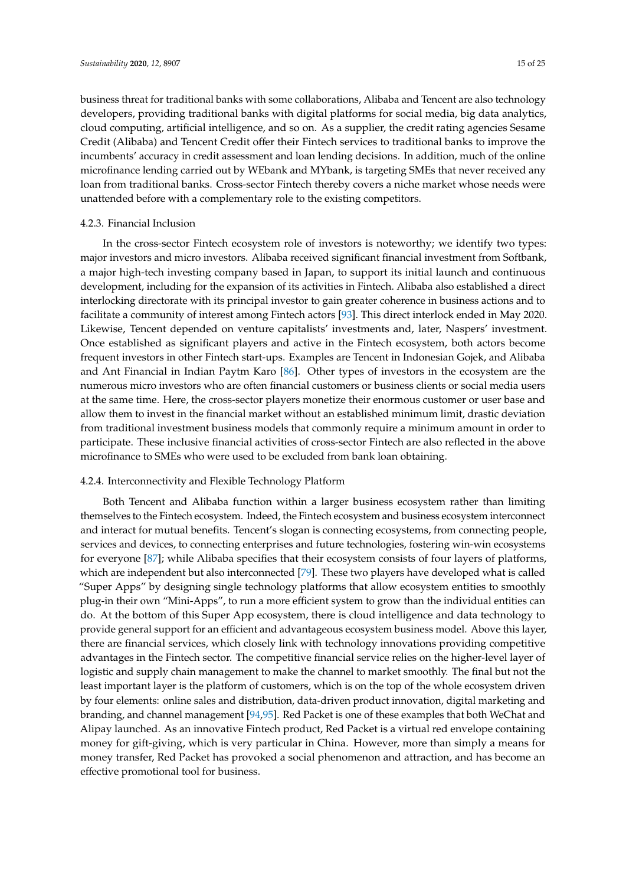business threat for traditional banks with some collaborations, Alibaba and Tencent are also technology developers, providing traditional banks with digital platforms for social media, big data analytics, cloud computing, artificial intelligence, and so on. As a supplier, the credit rating agencies Sesame Credit (Alibaba) and Tencent Credit offer their Fintech services to traditional banks to improve the incumbents' accuracy in credit assessment and loan lending decisions. In addition, much of the online microfinance lending carried out by WEbank and MYbank, is targeting SMEs that never received any loan from traditional banks. Cross-sector Fintech thereby covers a niche market whose needs were unattended before with a complementary role to the existing competitors.

## 4.2.3. Financial Inclusion

In the cross-sector Fintech ecosystem role of investors is noteworthy; we identify two types: major investors and micro investors. Alibaba received significant financial investment from Softbank, a major high-tech investing company based in Japan, to support its initial launch and continuous development, including for the expansion of its activities in Fintech. Alibaba also established a direct interlocking directorate with its principal investor to gain greater coherence in business actions and to facilitate a community of interest among Fintech actors [\[93\]](#page-23-21). This direct interlock ended in May 2020. Likewise, Tencent depended on venture capitalists' investments and, later, Naspers' investment. Once established as significant players and active in the Fintech ecosystem, both actors become frequent investors in other Fintech start-ups. Examples are Tencent in Indonesian Gojek, and Alibaba and Ant Financial in Indian Paytm Karo [\[86\]](#page-23-14). Other types of investors in the ecosystem are the numerous micro investors who are often financial customers or business clients or social media users at the same time. Here, the cross-sector players monetize their enormous customer or user base and allow them to invest in the financial market without an established minimum limit, drastic deviation from traditional investment business models that commonly require a minimum amount in order to participate. These inclusive financial activities of cross-sector Fintech are also reflected in the above microfinance to SMEs who were used to be excluded from bank loan obtaining.

## 4.2.4. Interconnectivity and Flexible Technology Platform

Both Tencent and Alibaba function within a larger business ecosystem rather than limiting themselves to the Fintech ecosystem. Indeed, the Fintech ecosystem and business ecosystem interconnect and interact for mutual benefits. Tencent's slogan is connecting ecosystems, from connecting people, services and devices, to connecting enterprises and future technologies, fostering win-win ecosystems for everyone [\[87\]](#page-23-15); while Alibaba specifies that their ecosystem consists of four layers of platforms, which are independent but also interconnected [\[79\]](#page-23-7). These two players have developed what is called "Super Apps" by designing single technology platforms that allow ecosystem entities to smoothly plug-in their own "Mini-Apps", to run a more efficient system to grow than the individual entities can do. At the bottom of this Super App ecosystem, there is cloud intelligence and data technology to provide general support for an efficient and advantageous ecosystem business model. Above this layer, there are financial services, which closely link with technology innovations providing competitive advantages in the Fintech sector. The competitive financial service relies on the higher-level layer of logistic and supply chain management to make the channel to market smoothly. The final but not the least important layer is the platform of customers, which is on the top of the whole ecosystem driven by four elements: online sales and distribution, data-driven product innovation, digital marketing and branding, and channel management [\[94,](#page-23-22)[95\]](#page-23-23). Red Packet is one of these examples that both WeChat and Alipay launched. As an innovative Fintech product, Red Packet is a virtual red envelope containing money for gift-giving, which is very particular in China. However, more than simply a means for money transfer, Red Packet has provoked a social phenomenon and attraction, and has become an effective promotional tool for business.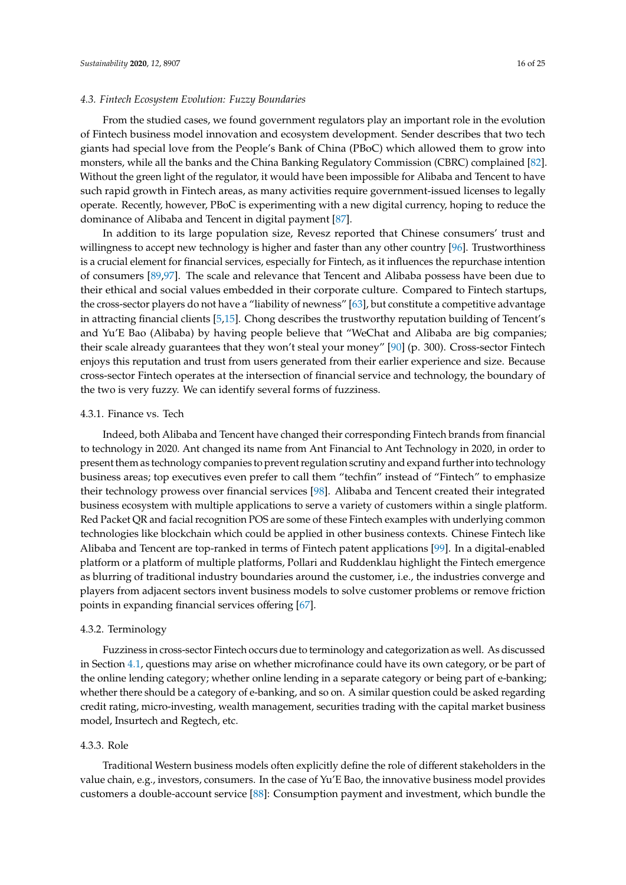## *4.3. Fintech Ecosystem Evolution: Fuzzy Boundaries*

From the studied cases, we found government regulators play an important role in the evolution of Fintech business model innovation and ecosystem development. Sender describes that two tech giants had special love from the People's Bank of China (PBoC) which allowed them to grow into monsters, while all the banks and the China Banking Regulatory Commission (CBRC) complained [\[82\]](#page-23-10). Without the green light of the regulator, it would have been impossible for Alibaba and Tencent to have such rapid growth in Fintech areas, as many activities require government-issued licenses to legally operate. Recently, however, PBoC is experimenting with a new digital currency, hoping to reduce the dominance of Alibaba and Tencent in digital payment [\[87\]](#page-23-15).

In addition to its large population size, Revesz reported that Chinese consumers' trust and willingness to accept new technology is higher and faster than any other country [\[96\]](#page-24-0). Trustworthiness is a crucial element for financial services, especially for Fintech, as it influences the repurchase intention of consumers [\[89](#page-23-17)[,97\]](#page-24-1). The scale and relevance that Tencent and Alibaba possess have been due to their ethical and social values embedded in their corporate culture. Compared to Fintech startups, the cross-sector players do not have a "liability of newness" [\[63\]](#page-22-12), but constitute a competitive advantage in attracting financial clients [\[5](#page-20-3)[,15\]](#page-20-12). Chong describes the trustworthy reputation building of Tencent's and Yu'E Bao (Alibaba) by having people believe that "WeChat and Alibaba are big companies; their scale already guarantees that they won't steal your money" [\[90\]](#page-23-18) (p. 300). Cross-sector Fintech enjoys this reputation and trust from users generated from their earlier experience and size. Because cross-sector Fintech operates at the intersection of financial service and technology, the boundary of the two is very fuzzy. We can identify several forms of fuzziness.

#### 4.3.1. Finance vs. Tech

Indeed, both Alibaba and Tencent have changed their corresponding Fintech brands from financial to technology in 2020. Ant changed its name from Ant Financial to Ant Technology in 2020, in order to present them as technology companies to prevent regulation scrutiny and expand further into technology business areas; top executives even prefer to call them "techfin" instead of "Fintech" to emphasize their technology prowess over financial services [\[98\]](#page-24-2). Alibaba and Tencent created their integrated business ecosystem with multiple applications to serve a variety of customers within a single platform. Red Packet QR and facial recognition POS are some of these Fintech examples with underlying common technologies like blockchain which could be applied in other business contexts. Chinese Fintech like Alibaba and Tencent are top-ranked in terms of Fintech patent applications [\[99\]](#page-24-3). In a digital-enabled platform or a platform of multiple platforms, Pollari and Ruddenklau highlight the Fintech emergence as blurring of traditional industry boundaries around the customer, i.e., the industries converge and players from adjacent sectors invent business models to solve customer problems or remove friction points in expanding financial services offering [\[67\]](#page-22-16).

## 4.3.2. Terminology

Fuzziness in cross-sector Fintech occurs due to terminology and categorization as well. As discussed in Section [4.1,](#page-8-0) questions may arise on whether microfinance could have its own category, or be part of the online lending category; whether online lending in a separate category or being part of e-banking; whether there should be a category of e-banking, and so on. A similar question could be asked regarding credit rating, micro-investing, wealth management, securities trading with the capital market business model, Insurtech and Regtech, etc.

#### 4.3.3. Role

Traditional Western business models often explicitly define the role of different stakeholders in the value chain, e.g., investors, consumers. In the case of Yu'E Bao, the innovative business model provides customers a double-account service [\[88\]](#page-23-16): Consumption payment and investment, which bundle the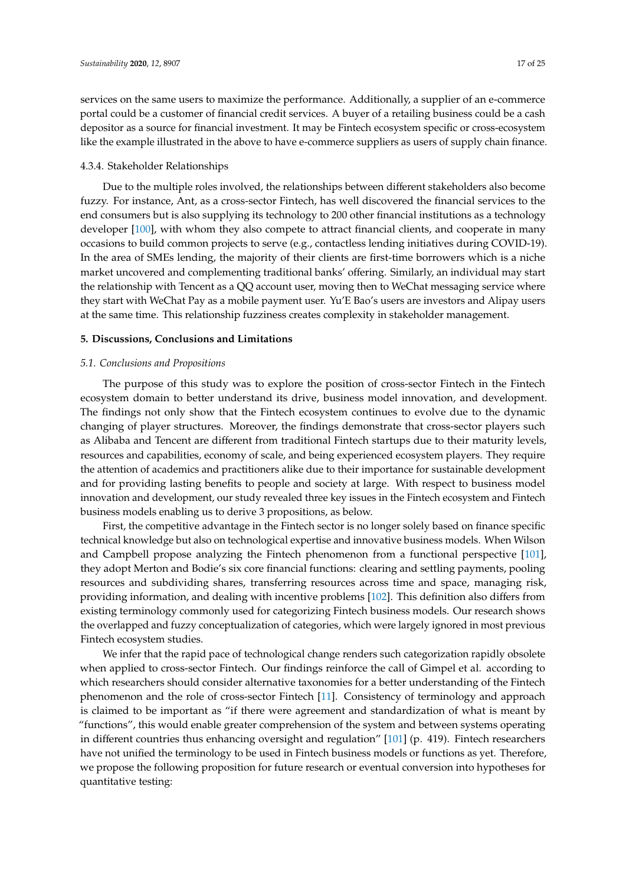services on the same users to maximize the performance. Additionally, a supplier of an e-commerce portal could be a customer of financial credit services. A buyer of a retailing business could be a cash depositor as a source for financial investment. It may be Fintech ecosystem specific or cross-ecosystem like the example illustrated in the above to have e-commerce suppliers as users of supply chain finance.

## 4.3.4. Stakeholder Relationships

Due to the multiple roles involved, the relationships between different stakeholders also become fuzzy. For instance, Ant, as a cross-sector Fintech, has well discovered the financial services to the end consumers but is also supplying its technology to 200 other financial institutions as a technology developer [\[100\]](#page-24-4), with whom they also compete to attract financial clients, and cooperate in many occasions to build common projects to serve (e.g., contactless lending initiatives during COVID-19). In the area of SMEs lending, the majority of their clients are first-time borrowers which is a niche market uncovered and complementing traditional banks' offering. Similarly, an individual may start the relationship with Tencent as a QQ account user, moving then to WeChat messaging service where they start with WeChat Pay as a mobile payment user. Yu'E Bao's users are investors and Alipay users at the same time. This relationship fuzziness creates complexity in stakeholder management.

#### **5. Discussions, Conclusions and Limitations**

#### *5.1. Conclusions and Propositions*

The purpose of this study was to explore the position of cross-sector Fintech in the Fintech ecosystem domain to better understand its drive, business model innovation, and development. The findings not only show that the Fintech ecosystem continues to evolve due to the dynamic changing of player structures. Moreover, the findings demonstrate that cross-sector players such as Alibaba and Tencent are different from traditional Fintech startups due to their maturity levels, resources and capabilities, economy of scale, and being experienced ecosystem players. They require the attention of academics and practitioners alike due to their importance for sustainable development and for providing lasting benefits to people and society at large. With respect to business model innovation and development, our study revealed three key issues in the Fintech ecosystem and Fintech business models enabling us to derive 3 propositions, as below.

First, the competitive advantage in the Fintech sector is no longer solely based on finance specific technical knowledge but also on technological expertise and innovative business models. When Wilson and Campbell propose analyzing the Fintech phenomenon from a functional perspective [\[101\]](#page-24-5), they adopt Merton and Bodie's six core financial functions: clearing and settling payments, pooling resources and subdividing shares, transferring resources across time and space, managing risk, providing information, and dealing with incentive problems [\[102\]](#page-24-6). This definition also differs from existing terminology commonly used for categorizing Fintech business models. Our research shows the overlapped and fuzzy conceptualization of categories, which were largely ignored in most previous Fintech ecosystem studies.

We infer that the rapid pace of technological change renders such categorization rapidly obsolete when applied to cross-sector Fintech. Our findings reinforce the call of Gimpel et al. according to which researchers should consider alternative taxonomies for a better understanding of the Fintech phenomenon and the role of cross-sector Fintech [\[11\]](#page-20-8). Consistency of terminology and approach is claimed to be important as "if there were agreement and standardization of what is meant by "functions", this would enable greater comprehension of the system and between systems operating in different countries thus enhancing oversight and regulation" [\[101\]](#page-24-5) (p. 419). Fintech researchers have not unified the terminology to be used in Fintech business models or functions as yet. Therefore, we propose the following proposition for future research or eventual conversion into hypotheses for quantitative testing: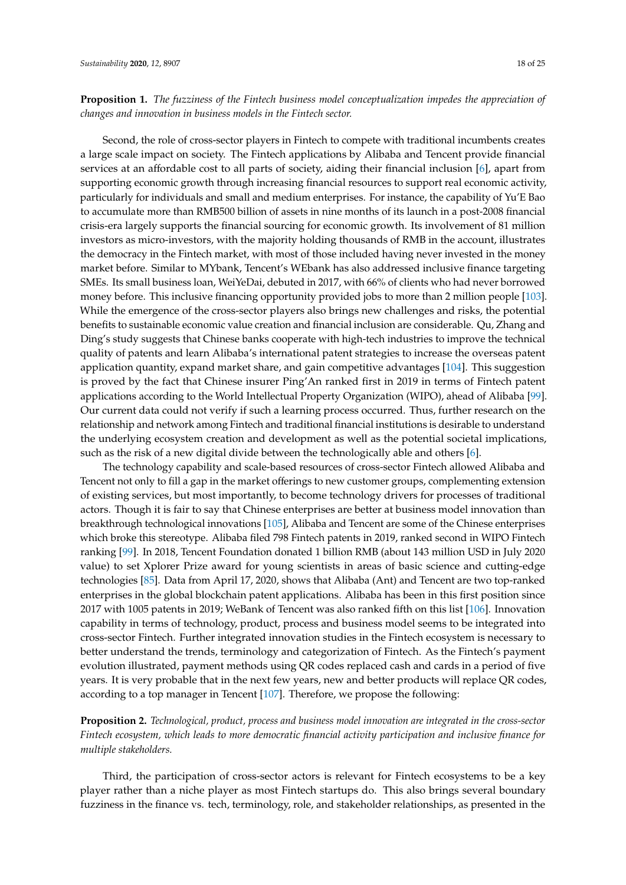# **Proposition 1.** *The fuzziness of the Fintech business model conceptualization impedes the appreciation of changes and innovation in business models in the Fintech sector.*

Second, the role of cross-sector players in Fintech to compete with traditional incumbents creates a large scale impact on society. The Fintech applications by Alibaba and Tencent provide financial services at an affordable cost to all parts of society, aiding their financial inclusion [\[6\]](#page-20-4), apart from supporting economic growth through increasing financial resources to support real economic activity, particularly for individuals and small and medium enterprises. For instance, the capability of Yu'E Bao to accumulate more than RMB500 billion of assets in nine months of its launch in a post-2008 financial crisis-era largely supports the financial sourcing for economic growth. Its involvement of 81 million investors as micro-investors, with the majority holding thousands of RMB in the account, illustrates the democracy in the Fintech market, with most of those included having never invested in the money market before. Similar to MYbank, Tencent's WEbank has also addressed inclusive finance targeting SMEs. Its small business loan, WeiYeDai, debuted in 2017, with 66% of clients who had never borrowed money before. This inclusive financing opportunity provided jobs to more than 2 million people [\[103\]](#page-24-7). While the emergence of the cross-sector players also brings new challenges and risks, the potential benefits to sustainable economic value creation and financial inclusion are considerable. Qu, Zhang and Ding's study suggests that Chinese banks cooperate with high-tech industries to improve the technical quality of patents and learn Alibaba's international patent strategies to increase the overseas patent application quantity, expand market share, and gain competitive advantages [\[104\]](#page-24-8). This suggestion is proved by the fact that Chinese insurer Ping'An ranked first in 2019 in terms of Fintech patent applications according to the World Intellectual Property Organization (WIPO), ahead of Alibaba [\[99\]](#page-24-3). Our current data could not verify if such a learning process occurred. Thus, further research on the relationship and network among Fintech and traditional financial institutions is desirable to understand the underlying ecosystem creation and development as well as the potential societal implications, such as the risk of a new digital divide between the technologically able and others [\[6\]](#page-20-4).

The technology capability and scale-based resources of cross-sector Fintech allowed Alibaba and Tencent not only to fill a gap in the market offerings to new customer groups, complementing extension of existing services, but most importantly, to become technology drivers for processes of traditional actors. Though it is fair to say that Chinese enterprises are better at business model innovation than breakthrough technological innovations [\[105\]](#page-24-9), Alibaba and Tencent are some of the Chinese enterprises which broke this stereotype. Alibaba filed 798 Fintech patents in 2019, ranked second in WIPO Fintech ranking [\[99\]](#page-24-3). In 2018, Tencent Foundation donated 1 billion RMB (about 143 million USD in July 2020 value) to set Xplorer Prize award for young scientists in areas of basic science and cutting-edge technologies [\[85\]](#page-23-13). Data from April 17, 2020, shows that Alibaba (Ant) and Tencent are two top-ranked enterprises in the global blockchain patent applications. Alibaba has been in this first position since 2017 with 1005 patents in 2019; WeBank of Tencent was also ranked fifth on this list [\[106\]](#page-24-10). Innovation capability in terms of technology, product, process and business model seems to be integrated into cross-sector Fintech. Further integrated innovation studies in the Fintech ecosystem is necessary to better understand the trends, terminology and categorization of Fintech. As the Fintech's payment evolution illustrated, payment methods using QR codes replaced cash and cards in a period of five years. It is very probable that in the next few years, new and better products will replace QR codes, according to a top manager in Tencent [\[107\]](#page-24-11). Therefore, we propose the following:

**Proposition 2.** *Technological, product, process and business model innovation are integrated in the cross-sector Fintech ecosystem, which leads to more democratic financial activity participation and inclusive finance for multiple stakeholders.*

Third, the participation of cross-sector actors is relevant for Fintech ecosystems to be a key player rather than a niche player as most Fintech startups do. This also brings several boundary fuzziness in the finance vs. tech, terminology, role, and stakeholder relationships, as presented in the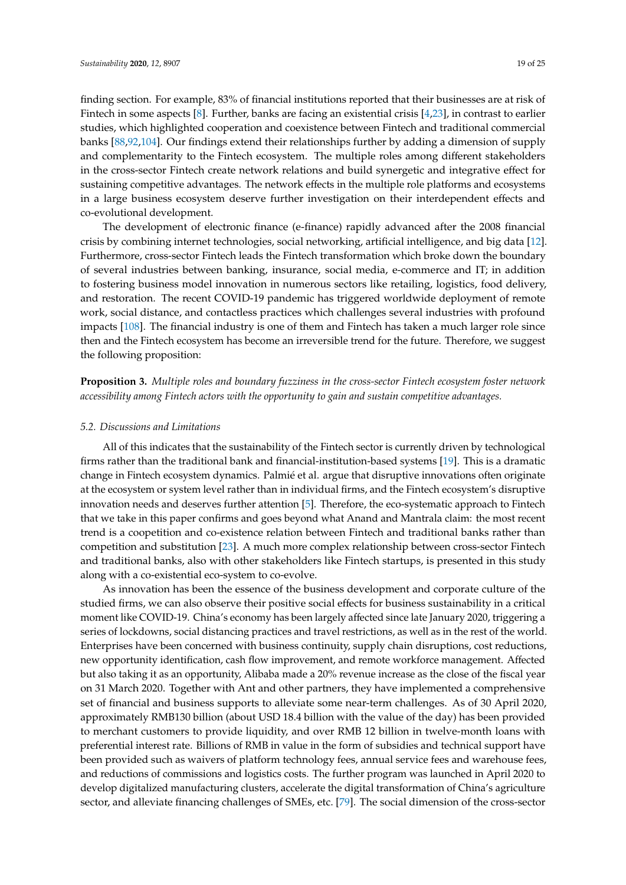finding section. For example, 83% of financial institutions reported that their businesses are at risk of Fintech in some aspects [\[8\]](#page-20-6). Further, banks are facing an existential crisis [\[4](#page-20-19)[,23\]](#page-21-1), in contrast to earlier studies, which highlighted cooperation and coexistence between Fintech and traditional commercial banks [\[88,](#page-23-16)[92](#page-23-20)[,104\]](#page-24-8). Our findings extend their relationships further by adding a dimension of supply and complementarity to the Fintech ecosystem. The multiple roles among different stakeholders in the cross-sector Fintech create network relations and build synergetic and integrative effect for sustaining competitive advantages. The network effects in the multiple role platforms and ecosystems in a large business ecosystem deserve further investigation on their interdependent effects and co-evolutional development.

The development of electronic finance (e-finance) rapidly advanced after the 2008 financial crisis by combining internet technologies, social networking, artificial intelligence, and big data [\[12\]](#page-20-9). Furthermore, cross-sector Fintech leads the Fintech transformation which broke down the boundary of several industries between banking, insurance, social media, e-commerce and IT; in addition to fostering business model innovation in numerous sectors like retailing, logistics, food delivery, and restoration. The recent COVID-19 pandemic has triggered worldwide deployment of remote work, social distance, and contactless practices which challenges several industries with profound impacts [\[108\]](#page-24-12). The financial industry is one of them and Fintech has taken a much larger role since then and the Fintech ecosystem has become an irreversible trend for the future. Therefore, we suggest the following proposition:

**Proposition 3.** *Multiple roles and boundary fuzziness in the cross-sector Fintech ecosystem foster network accessibility among Fintech actors with the opportunity to gain and sustain competitive advantages.*

#### *5.2. Discussions and Limitations*

All of this indicates that the sustainability of the Fintech sector is currently driven by technological firms rather than the traditional bank and financial-institution-based systems [\[19\]](#page-20-16). This is a dramatic change in Fintech ecosystem dynamics. Palmié et al. argue that disruptive innovations often originate at the ecosystem or system level rather than in individual firms, and the Fintech ecosystem's disruptive innovation needs and deserves further attention [\[5\]](#page-20-3). Therefore, the eco-systematic approach to Fintech that we take in this paper confirms and goes beyond what Anand and Mantrala claim: the most recent trend is a coopetition and co-existence relation between Fintech and traditional banks rather than competition and substitution [\[23\]](#page-21-1). A much more complex relationship between cross-sector Fintech and traditional banks, also with other stakeholders like Fintech startups, is presented in this study along with a co-existential eco-system to co-evolve.

As innovation has been the essence of the business development and corporate culture of the studied firms, we can also observe their positive social effects for business sustainability in a critical moment like COVID-19. China's economy has been largely affected since late January 2020, triggering a series of lockdowns, social distancing practices and travel restrictions, as well as in the rest of the world. Enterprises have been concerned with business continuity, supply chain disruptions, cost reductions, new opportunity identification, cash flow improvement, and remote workforce management. Affected but also taking it as an opportunity, Alibaba made a 20% revenue increase as the close of the fiscal year on 31 March 2020. Together with Ant and other partners, they have implemented a comprehensive set of financial and business supports to alleviate some near-term challenges. As of 30 April 2020, approximately RMB130 billion (about USD 18.4 billion with the value of the day) has been provided to merchant customers to provide liquidity, and over RMB 12 billion in twelve-month loans with preferential interest rate. Billions of RMB in value in the form of subsidies and technical support have been provided such as waivers of platform technology fees, annual service fees and warehouse fees, and reductions of commissions and logistics costs. The further program was launched in April 2020 to develop digitalized manufacturing clusters, accelerate the digital transformation of China's agriculture sector, and alleviate financing challenges of SMEs, etc. [\[79\]](#page-23-7). The social dimension of the cross-sector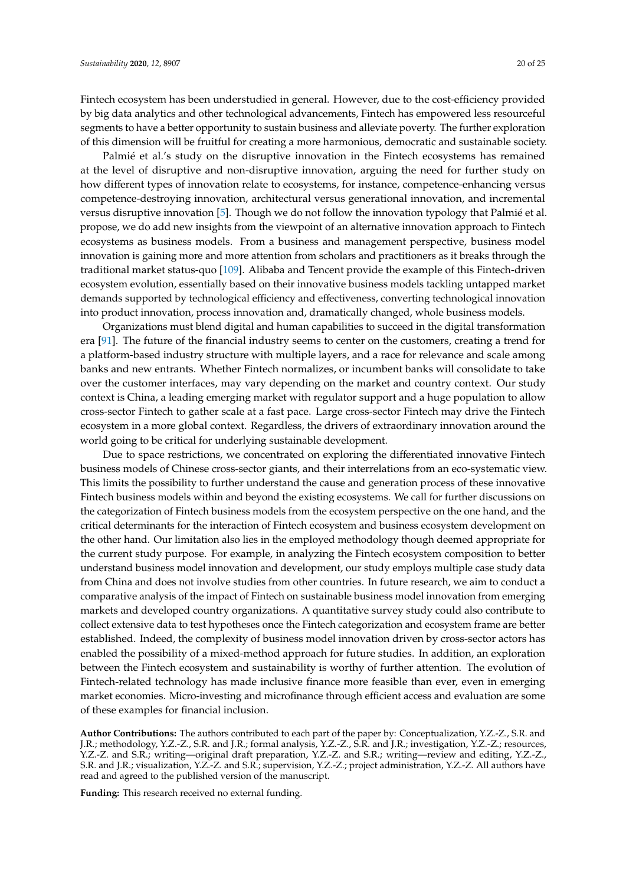Fintech ecosystem has been understudied in general. However, due to the cost-efficiency provided by big data analytics and other technological advancements, Fintech has empowered less resourceful segments to have a better opportunity to sustain business and alleviate poverty. The further exploration of this dimension will be fruitful for creating a more harmonious, democratic and sustainable society.

Palmié et al.'s study on the disruptive innovation in the Fintech ecosystems has remained at the level of disruptive and non-disruptive innovation, arguing the need for further study on how different types of innovation relate to ecosystems, for instance, competence-enhancing versus competence-destroying innovation, architectural versus generational innovation, and incremental versus disruptive innovation [\[5\]](#page-20-3). Though we do not follow the innovation typology that Palmié et al. propose, we do add new insights from the viewpoint of an alternative innovation approach to Fintech ecosystems as business models. From a business and management perspective, business model innovation is gaining more and more attention from scholars and practitioners as it breaks through the traditional market status-quo [\[109\]](#page-24-13). Alibaba and Tencent provide the example of this Fintech-driven ecosystem evolution, essentially based on their innovative business models tackling untapped market demands supported by technological efficiency and effectiveness, converting technological innovation into product innovation, process innovation and, dramatically changed, whole business models.

Organizations must blend digital and human capabilities to succeed in the digital transformation era [\[91\]](#page-23-19). The future of the financial industry seems to center on the customers, creating a trend for a platform-based industry structure with multiple layers, and a race for relevance and scale among banks and new entrants. Whether Fintech normalizes, or incumbent banks will consolidate to take over the customer interfaces, may vary depending on the market and country context. Our study context is China, a leading emerging market with regulator support and a huge population to allow cross-sector Fintech to gather scale at a fast pace. Large cross-sector Fintech may drive the Fintech ecosystem in a more global context. Regardless, the drivers of extraordinary innovation around the world going to be critical for underlying sustainable development.

Due to space restrictions, we concentrated on exploring the differentiated innovative Fintech business models of Chinese cross-sector giants, and their interrelations from an eco-systematic view. This limits the possibility to further understand the cause and generation process of these innovative Fintech business models within and beyond the existing ecosystems. We call for further discussions on the categorization of Fintech business models from the ecosystem perspective on the one hand, and the critical determinants for the interaction of Fintech ecosystem and business ecosystem development on the other hand. Our limitation also lies in the employed methodology though deemed appropriate for the current study purpose. For example, in analyzing the Fintech ecosystem composition to better understand business model innovation and development, our study employs multiple case study data from China and does not involve studies from other countries. In future research, we aim to conduct a comparative analysis of the impact of Fintech on sustainable business model innovation from emerging markets and developed country organizations. A quantitative survey study could also contribute to collect extensive data to test hypotheses once the Fintech categorization and ecosystem frame are better established. Indeed, the complexity of business model innovation driven by cross-sector actors has enabled the possibility of a mixed-method approach for future studies. In addition, an exploration between the Fintech ecosystem and sustainability is worthy of further attention. The evolution of Fintech-related technology has made inclusive finance more feasible than ever, even in emerging market economies. Micro-investing and microfinance through efficient access and evaluation are some of these examples for financial inclusion.

**Author Contributions:** The authors contributed to each part of the paper by: Conceptualization, Y.Z.-Z., S.R. and J.R.; methodology, Y.Z.-Z., S.R. and J.R.; formal analysis, Y.Z.-Z., S.R. and J.R.; investigation, Y.Z.-Z.; resources, Y.Z.-Z. and S.R.; writing—original draft preparation, Y.Z.-Z. and S.R.; writing—review and editing, Y.Z.-Z., S.R. and J.R.; visualization, Y.Z.-Z. and S.R.; supervision, Y.Z.-Z.; project administration, Y.Z.-Z. All authors have read and agreed to the published version of the manuscript.

**Funding:** This research received no external funding.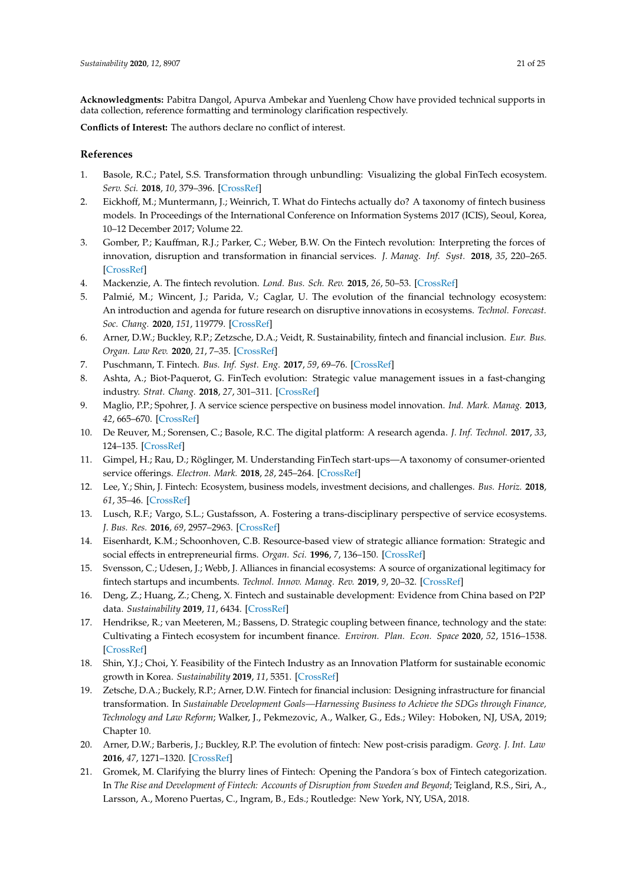**Acknowledgments:** Pabitra Dangol, Apurva Ambekar and Yuenleng Chow have provided technical supports in data collection, reference formatting and terminology clarification respectively.

**Conflicts of Interest:** The authors declare no conflict of interest.

## **References**

- <span id="page-20-0"></span>1. Basole, R.C.; Patel, S.S. Transformation through unbundling: Visualizing the global FinTech ecosystem. *Serv. Sci.* **2018**, *10*, 379–396. [\[CrossRef\]](http://dx.doi.org/10.1287/serv.2018.0210)
- <span id="page-20-1"></span>2. Eickhoff, M.; Muntermann, J.; Weinrich, T. What do Fintechs actually do? A taxonomy of fintech business models. In Proceedings of the International Conference on Information Systems 2017 (ICIS), Seoul, Korea, 10–12 December 2017; Volume 22.
- <span id="page-20-2"></span>3. Gomber, P.; Kauffman, R.J.; Parker, C.; Weber, B.W. On the Fintech revolution: Interpreting the forces of innovation, disruption and transformation in financial services. *J. Manag. Inf. Syst.* **2018**, *35*, 220–265. [\[CrossRef\]](http://dx.doi.org/10.1080/07421222.2018.1440766)
- <span id="page-20-19"></span>4. Mackenzie, A. The fintech revolution. *Lond. Bus. Sch. Rev.* **2015**, *26*, 50–53. [\[CrossRef\]](http://dx.doi.org/10.1111/2057-1615.12059)
- <span id="page-20-3"></span>5. Palmié, M.; Wincent, J.; Parida, V.; Caglar, U. The evolution of the financial technology ecosystem: An introduction and agenda for future research on disruptive innovations in ecosystems. *Technol. Forecast. Soc. Chang.* **2020**, *151*, 119779. [\[CrossRef\]](http://dx.doi.org/10.1016/j.techfore.2019.119779)
- <span id="page-20-4"></span>6. Arner, D.W.; Buckley, R.P.; Zetzsche, D.A.; Veidt, R. Sustainability, fintech and financial inclusion. *Eur. Bus. Organ. Law Rev.* **2020**, *21*, 7–35. [\[CrossRef\]](http://dx.doi.org/10.1007/s40804-020-00183-y)
- <span id="page-20-5"></span>7. Puschmann, T. Fintech. *Bus. Inf. Syst. Eng.* **2017**, *59*, 69–76. [\[CrossRef\]](http://dx.doi.org/10.1007/s12599-017-0464-6)
- <span id="page-20-6"></span>8. Ashta, A.; Biot-Paquerot, G. FinTech evolution: Strategic value management issues in a fast-changing industry. *Strat. Chang.* **2018**, *27*, 301–311. [\[CrossRef\]](http://dx.doi.org/10.1002/jsc.2203)
- 9. Maglio, P.P.; Spohrer, J. A service science perspective on business model innovation. *Ind. Mark. Manag.* **2013**, *42*, 665–670. [\[CrossRef\]](http://dx.doi.org/10.1016/j.indmarman.2013.05.007)
- <span id="page-20-7"></span>10. De Reuver, M.; Sorensen, C.; Basole, R.C. The digital platform: A research agenda. *J. Inf. Technol.* **2017**, *33*, 124–135. [\[CrossRef\]](http://dx.doi.org/10.1057/s41265-016-0033-3)
- <span id="page-20-8"></span>11. Gimpel, H.; Rau, D.; Röglinger, M. Understanding FinTech start-ups—A taxonomy of consumer-oriented service offerings. *Electron. Mark.* **2018**, *28*, 245–264. [\[CrossRef\]](http://dx.doi.org/10.1007/s12525-017-0275-0)
- <span id="page-20-9"></span>12. Lee, Y.; Shin, J. Fintech: Ecosystem, business models, investment decisions, and challenges. *Bus. Horiz.* **2018**, *61*, 35–46. [\[CrossRef\]](http://dx.doi.org/10.1016/j.bushor.2017.09.003)
- <span id="page-20-10"></span>13. Lusch, R.F.; Vargo, S.L.; Gustafsson, A. Fostering a trans-disciplinary perspective of service ecosystems. *J. Bus. Res.* **2016**, *69*, 2957–2963. [\[CrossRef\]](http://dx.doi.org/10.1016/j.jbusres.2016.02.028)
- <span id="page-20-11"></span>14. Eisenhardt, K.M.; Schoonhoven, C.B. Resource-based view of strategic alliance formation: Strategic and social effects in entrepreneurial firms. *Organ. Sci.* **1996**, *7*, 136–150. [\[CrossRef\]](http://dx.doi.org/10.1287/orsc.7.2.136)
- <span id="page-20-12"></span>15. Svensson, C.; Udesen, J.; Webb, J. Alliances in financial ecosystems: A source of organizational legitimacy for fintech startups and incumbents. *Technol. Innov. Manag. Rev.* **2019**, *9*, 20–32. [\[CrossRef\]](http://dx.doi.org/10.22215/timreview/1209)
- <span id="page-20-13"></span>16. Deng, Z.; Huang, Z.; Cheng, X. Fintech and sustainable development: Evidence from China based on P2P data. *Sustainability* **2019**, *11*, 6434. [\[CrossRef\]](http://dx.doi.org/10.3390/su11226434)
- <span id="page-20-14"></span>17. Hendrikse, R.; van Meeteren, M.; Bassens, D. Strategic coupling between finance, technology and the state: Cultivating a Fintech ecosystem for incumbent finance. *Environ. Plan. Econ. Space* **2020**, *52*, 1516–1538. [\[CrossRef\]](http://dx.doi.org/10.1177/0308518X19887967)
- <span id="page-20-15"></span>18. Shin, Y.J.; Choi, Y. Feasibility of the Fintech Industry as an Innovation Platform for sustainable economic growth in Korea. *Sustainability* **2019**, *11*, 5351. [\[CrossRef\]](http://dx.doi.org/10.3390/su11195351)
- <span id="page-20-16"></span>19. Zetsche, D.A.; Buckely, R.P.; Arner, D.W. Fintech for financial inclusion: Designing infrastructure for financial transformation. In *Sustainable Development Goals—Harnessing Business to Achieve the SDGs through Finance, Technology and Law Reform*; Walker, J., Pekmezovic, A., Walker, G., Eds.; Wiley: Hoboken, NJ, USA, 2019; Chapter 10.
- <span id="page-20-17"></span>20. Arner, D.W.; Barberis, J.; Buckley, R.P. The evolution of fintech: New post-crisis paradigm. *Georg. J. Int. Law* **2016**, *47*, 1271–1320. [\[CrossRef\]](http://dx.doi.org/10.2139/ssrn.2676553)
- <span id="page-20-18"></span>21. Gromek, M. Clarifying the blurry lines of Fintech: Opening the Pandora´s box of Fintech categorization. In *The Rise and Development of Fintech: Accounts of Disruption from Sweden and Beyond*; Teigland, R.S., Siri, A., Larsson, A., Moreno Puertas, C., Ingram, B., Eds.; Routledge: New York, NY, USA, 2018.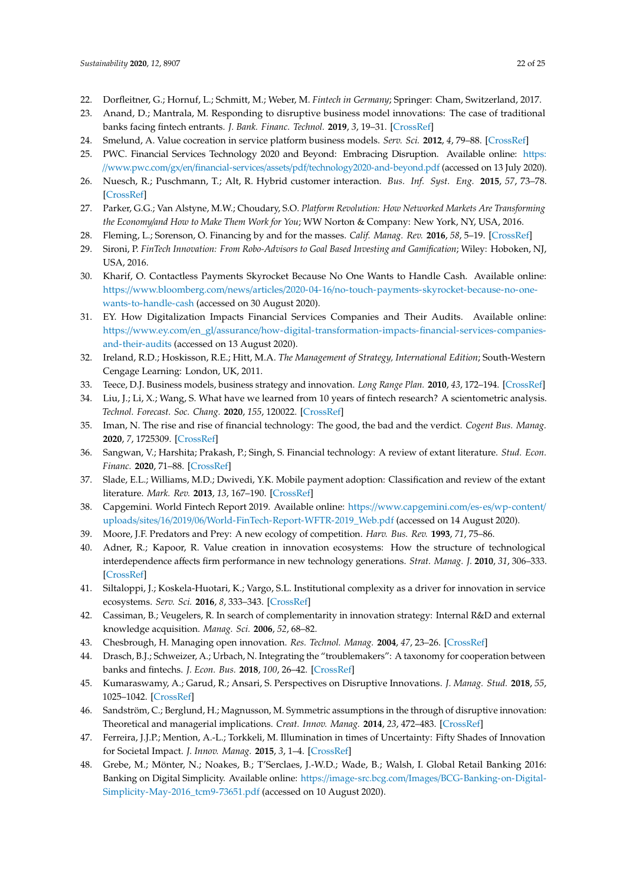- <span id="page-21-0"></span>22. Dorfleitner, G.; Hornuf, L.; Schmitt, M.; Weber, M. *Fintech in Germany*; Springer: Cham, Switzerland, 2017.
- <span id="page-21-1"></span>23. Anand, D.; Mantrala, M. Responding to disruptive business model innovations: The case of traditional banks facing fintech entrants. *J. Bank. Financ. Technol.* **2019**, *3*, 19–31. [\[CrossRef\]](http://dx.doi.org/10.1007/s42786-018-00004-4)
- <span id="page-21-2"></span>24. Smelund, A. Value cocreation in service platform business models. *Serv. Sci.* **2012**, *4*, 79–88. [\[CrossRef\]](http://dx.doi.org/10.1287/serv.1110.0001)
- <span id="page-21-3"></span>25. PWC. Financial Services Technology 2020 and Beyond: Embracing Disruption. Available online: [https:](https://www.pwc.com/gx/en/financial-services/assets/pdf/technology2020-and-beyond.pdf) //www.pwc.com/gx/en/financial-services/assets/pdf/[technology2020-and-beyond.pdf](https://www.pwc.com/gx/en/financial-services/assets/pdf/technology2020-and-beyond.pdf) (accessed on 13 July 2020).
- <span id="page-21-4"></span>26. Nuesch, R.; Puschmann, T.; Alt, R. Hybrid customer interaction. *Bus. Inf. Syst. Eng.* **2015**, *57*, 73–78. [\[CrossRef\]](http://dx.doi.org/10.1007/s12599-014-0366-9)
- <span id="page-21-5"></span>27. Parker, G.G.; Van Alstyne, M.W.; Choudary, S.O. *Platform Revolution: How Networked Markets Are Transforming the Economy*/*and How to Make Them Work for You*; WW Norton & Company: New York, NY, USA, 2016.
- 28. Fleming, L.; Sorenson, O. Financing by and for the masses. *Calif. Manag. Rev.* **2016**, *58*, 5–19. [\[CrossRef\]](http://dx.doi.org/10.1525/cmr.2016.58.2.5)
- <span id="page-21-6"></span>29. Sironi, P. *FinTech Innovation: From Robo-Advisors to Goal Based Investing and Gamification*; Wiley: Hoboken, NJ, USA, 2016.
- <span id="page-21-7"></span>30. Kharif, O. Contactless Payments Skyrocket Because No One Wants to Handle Cash. Available online: https://www.bloomberg.com/news/articles/2020-04-16/[no-touch-payments-skyrocket-because-no-one](https://www.bloomberg.com/news/articles/2020-04-16/no-touch-payments-skyrocket-because-no-one-wants-to-handle-cash)[wants-to-handle-cash](https://www.bloomberg.com/news/articles/2020-04-16/no-touch-payments-skyrocket-because-no-one-wants-to-handle-cash) (accessed on 30 August 2020).
- <span id="page-21-8"></span>31. EY. How Digitalization Impacts Financial Services Companies and Their Audits. Available online: https://www.ey.com/en\_gl/assurance/[how-digital-transformation-impacts-financial-services-companies](https://www.ey.com/en_gl/assurance/how-digital-transformation-impacts-financial-services-companies-and-their-audits)[and-their-audits](https://www.ey.com/en_gl/assurance/how-digital-transformation-impacts-financial-services-companies-and-their-audits) (accessed on 13 August 2020).
- <span id="page-21-9"></span>32. Ireland, R.D.; Hoskisson, R.E.; Hitt, M.A. *The Management of Strategy, International Edition*; South-Western Cengage Learning: London, UK, 2011.
- <span id="page-21-10"></span>33. Teece, D.J. Business models, business strategy and innovation. *Long Range Plan.* **2010**, *43*, 172–194. [\[CrossRef\]](http://dx.doi.org/10.1016/j.lrp.2009.07.003)
- <span id="page-21-11"></span>34. Liu, J.; Li, X.; Wang, S. What have we learned from 10 years of fintech research? A scientometric analysis. *Technol. Forecast. Soc. Chang.* **2020**, *155*, 120022. [\[CrossRef\]](http://dx.doi.org/10.1016/j.techfore.2020.120022)
- <span id="page-21-12"></span>35. Iman, N. The rise and rise of financial technology: The good, the bad and the verdict. *Cogent Bus. Manag.* **2020**, *7*, 1725309. [\[CrossRef\]](http://dx.doi.org/10.1080/23311975.2020.1725309)
- <span id="page-21-13"></span>36. Sangwan, V.; Harshita; Prakash, P.; Singh, S. Financial technology: A review of extant literature. *Stud. Econ. Financ.* **2020**, 71–88. [\[CrossRef\]](http://dx.doi.org/10.1108/SEF-07-2019-0270)
- <span id="page-21-14"></span>37. Slade, E.L.; Williams, M.D.; Dwivedi, Y.K. Mobile payment adoption: Classification and review of the extant literature. *Mark. Rev.* **2013**, *13*, 167–190. [\[CrossRef\]](http://dx.doi.org/10.1362/146934713X13699019904687)
- <span id="page-21-15"></span>38. Capgemini. World Fintech Report 2019. Available online: https://[www.capgemini.com](https://www.capgemini.com/es-es/wp-content/uploads/sites/16/2019/06/World-FinTech-Report-WFTR-2019_Web.pdf)/es-es/wp-content/ uploads/sites/16/2019/06/[World-FinTech-Report-WFTR-2019\\_Web.pdf](https://www.capgemini.com/es-es/wp-content/uploads/sites/16/2019/06/World-FinTech-Report-WFTR-2019_Web.pdf) (accessed on 14 August 2020).
- <span id="page-21-16"></span>39. Moore, J.F. Predators and Prey: A new ecology of competition. *Harv. Bus. Rev.* **1993**, *71*, 75–86.
- <span id="page-21-17"></span>40. Adner, R.; Kapoor, R. Value creation in innovation ecosystems: How the structure of technological interdependence affects firm performance in new technology generations. *Strat. Manag. J.* **2010**, *31*, 306–333. [\[CrossRef\]](http://dx.doi.org/10.1002/smj.821)
- <span id="page-21-18"></span>41. Siltaloppi, J.; Koskela-Huotari, K.; Vargo, S.L. Institutional complexity as a driver for innovation in service ecosystems. *Serv. Sci.* **2016**, *8*, 333–343. [\[CrossRef\]](http://dx.doi.org/10.1287/serv.2016.0151)
- <span id="page-21-19"></span>42. Cassiman, B.; Veugelers, R. In search of complementarity in innovation strategy: Internal R&D and external knowledge acquisition. *Manag. Sci.* **2006**, *52*, 68–82.
- <span id="page-21-20"></span>43. Chesbrough, H. Managing open innovation. *Res. Technol. Manag.* **2004**, *47*, 23–26. [\[CrossRef\]](http://dx.doi.org/10.1080/08956308.2004.11671604)
- <span id="page-21-21"></span>44. Drasch, B.J.; Schweizer, A.; Urbach, N. Integrating the "troublemakers": A taxonomy for cooperation between banks and fintechs. *J. Econ. Bus.* **2018**, *100*, 26–42. [\[CrossRef\]](http://dx.doi.org/10.1016/j.jeconbus.2018.04.002)
- <span id="page-21-22"></span>45. Kumaraswamy, A.; Garud, R.; Ansari, S. Perspectives on Disruptive Innovations. *J. Manag. Stud.* **2018**, *55*, 1025–1042. [\[CrossRef\]](http://dx.doi.org/10.1111/joms.12399)
- <span id="page-21-23"></span>46. Sandström, C.; Berglund, H.; Magnusson, M. Symmetric assumptions in the through of disruptive innovation: Theoretical and managerial implications. *Creat. Innov. Manag.* **2014**, *23*, 472–483. [\[CrossRef\]](http://dx.doi.org/10.1111/caim.12092)
- <span id="page-21-24"></span>47. Ferreira, J.J.P.; Mention, A.-L.; Torkkeli, M. Illumination in times of Uncertainty: Fifty Shades of Innovation for Societal Impact. *J. Innov. Manag.* **2015**, *3*, 1–4. [\[CrossRef\]](http://dx.doi.org/10.24840/2183-0606_003.001_0001)
- 48. Grebe, M.; Mönter, N.; Noakes, B.; T'Serclaes, J.-W.D.; Wade, B.; Walsh, I. Global Retail Banking 2016: Banking on Digital Simplicity. Available online: https://image-src.bcg.com/Images/[BCG-Banking-on-Digital-](https://image-src.bcg.com/Images/BCG-Banking-on-Digital-Simplicity-May-2016_tcm9-73651.pdf)[Simplicity-May-2016\\_tcm9-73651.pdf](https://image-src.bcg.com/Images/BCG-Banking-on-Digital-Simplicity-May-2016_tcm9-73651.pdf) (accessed on 10 August 2020).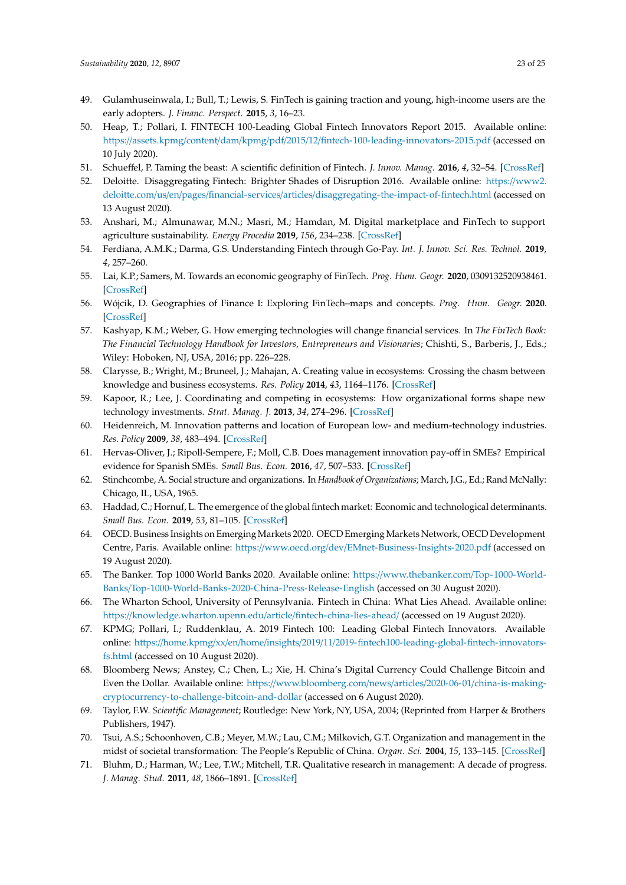- 49. Gulamhuseinwala, I.; Bull, T.; Lewis, S. FinTech is gaining traction and young, high-income users are the early adopters. *J. Financ. Perspect.* **2015**, *3*, 16–23.
- <span id="page-22-0"></span>50. Heap, T.; Pollari, I. FINTECH 100-Leading Global Fintech Innovators Report 2015. Available online: https://assets.kpmg/content/dam/kpmg/pdf/2015/12/[fintech-100-leading-innovators-2015.pdf](https://assets.kpmg/content/dam/kpmg/pdf/2015/12/fintech-100-leading-innovators-2015.pdf) (accessed on 10 July 2020).
- <span id="page-22-1"></span>51. Schueffel, P. Taming the beast: A scientific definition of Fintech. *J. Innov. Manag.* **2016**, *4*, 32–54. [\[CrossRef\]](http://dx.doi.org/10.24840/2183-0606_004.004_0004)
- <span id="page-22-2"></span>52. Deloitte. Disaggregating Fintech: Brighter Shades of Disruption 2016. Available online: https://[www2.](https://www2.deloitte.com/us/en/pages/financial-services/articles/disaggregating-the-impact-of-fintech.html) deloitte.com/us/en/pages/financial-services/articles/[disaggregating-the-impact-of-fintech.html](https://www2.deloitte.com/us/en/pages/financial-services/articles/disaggregating-the-impact-of-fintech.html) (accessed on 13 August 2020).
- <span id="page-22-3"></span>53. Anshari, M.; Almunawar, M.N.; Masri, M.; Hamdan, M. Digital marketplace and FinTech to support agriculture sustainability. *Energy Procedia* **2019**, *156*, 234–238. [\[CrossRef\]](http://dx.doi.org/10.1016/j.egypro.2018.11.134)
- 54. Ferdiana, A.M.K.; Darma, G.S. Understanding Fintech through Go-Pay. *Int. J. Innov. Sci. Res. Technol.* **2019**, *4*, 257–260.
- <span id="page-22-5"></span>55. Lai, K.P.; Samers, M. Towards an economic geography of FinTech. *Prog. Hum. Geogr.* **2020**, 0309132520938461. [\[CrossRef\]](http://dx.doi.org/10.1177/0309132520938461)
- <span id="page-22-4"></span>56. Wójcik, D. Geographies of Finance I: Exploring FinTech–maps and concepts. *Prog. Hum. Geogr.* **2020**. [\[CrossRef\]](http://dx.doi.org/10.1177/0309132520952865)
- <span id="page-22-6"></span>57. Kashyap, K.M.; Weber, G. How emerging technologies will change financial services. In *The FinTech Book: The Financial Technology Handbook for Investors, Entrepreneurs and Visionaries*; Chishti, S., Barberis, J., Eds.; Wiley: Hoboken, NJ, USA, 2016; pp. 226–228.
- <span id="page-22-7"></span>58. Clarysse, B.; Wright, M.; Bruneel, J.; Mahajan, A. Creating value in ecosystems: Crossing the chasm between knowledge and business ecosystems. *Res. Policy* **2014**, *43*, 1164–1176. [\[CrossRef\]](http://dx.doi.org/10.1016/j.respol.2014.04.014)
- <span id="page-22-8"></span>59. Kapoor, R.; Lee, J. Coordinating and competing in ecosystems: How organizational forms shape new technology investments. *Strat. Manag. J.* **2013**, *34*, 274–296. [\[CrossRef\]](http://dx.doi.org/10.1002/smj.2010)
- <span id="page-22-9"></span>60. Heidenreich, M. Innovation patterns and location of European low- and medium-technology industries. *Res. Policy* **2009**, *38*, 483–494. [\[CrossRef\]](http://dx.doi.org/10.1016/j.respol.2008.10.005)
- <span id="page-22-10"></span>61. Hervas-Oliver, J.; Ripoll-Sempere, F.; Moll, C.B. Does management innovation pay-off in SMEs? Empirical evidence for Spanish SMEs. *Small Bus. Econ.* **2016**, *47*, 507–533. [\[CrossRef\]](http://dx.doi.org/10.1007/s11187-016-9733-x)
- <span id="page-22-11"></span>62. Stinchcombe, A. Social structure and organizations. In *Handbook of Organizations*; March, J.G., Ed.; Rand McNally: Chicago, IL, USA, 1965.
- <span id="page-22-12"></span>63. Haddad, C.; Hornuf, L. The emergence of the global fintech market: Economic and technological determinants. *Small Bus. Econ.* **2019**, *53*, 81–105. [\[CrossRef\]](http://dx.doi.org/10.1007/s11187-018-9991-x)
- <span id="page-22-13"></span>64. OECD. Business Insights on Emerging Markets 2020. OECD Emerging Markets Network, OECD Development Centre, Paris. Available online: https://www.oecd.org/dev/[EMnet-Business-Insights-2020.pdf](https://www.oecd.org/dev/EMnet-Business-Insights-2020.pdf) (accessed on 19 August 2020).
- <span id="page-22-14"></span>65. The Banker. Top 1000 World Banks 2020. Available online: https://[www.thebanker.com](https://www.thebanker.com/Top-1000-World-Banks/Top-1000-World-Banks-2020-China-Press-Release-English)/Top-1000-World-Banks/[Top-1000-World-Banks-2020-China-Press-Release-English](https://www.thebanker.com/Top-1000-World-Banks/Top-1000-World-Banks-2020-China-Press-Release-English) (accessed on 30 August 2020).
- <span id="page-22-15"></span>66. The Wharton School, University of Pennsylvania. Fintech in China: What Lies Ahead. Available online: https://[knowledge.wharton.upenn.edu](https://knowledge.wharton.upenn.edu/article/fintech-china-lies-ahead/)/article/fintech-china-lies-ahead/ (accessed on 19 August 2020).
- <span id="page-22-16"></span>67. KPMG; Pollari, I.; Ruddenklau, A. 2019 Fintech 100: Leading Global Fintech Innovators. Available online: https://home.kpmg/xx/en/home/insights/2019/11/[2019-fintech100-leading-global-fintech-innovators](https://home.kpmg/xx/en/home/insights/2019/11/2019-fintech100-leading-global-fintech-innovators-fs.html)[fs.html](https://home.kpmg/xx/en/home/insights/2019/11/2019-fintech100-leading-global-fintech-innovators-fs.html) (accessed on 10 August 2020).
- <span id="page-22-17"></span>68. Bloomberg News; Anstey, C.; Chen, L.; Xie, H. China's Digital Currency Could Challenge Bitcoin and Even the Dollar. Available online: https://[www.bloomberg.com](https://www.bloomberg.com/news/articles/2020-06-01/china-is-making-cryptocurrency-to-challenge-bitcoin-and-dollar)/news/articles/2020-06-01/china-is-making[cryptocurrency-to-challenge-bitcoin-and-dollar](https://www.bloomberg.com/news/articles/2020-06-01/china-is-making-cryptocurrency-to-challenge-bitcoin-and-dollar) (accessed on 6 August 2020).
- <span id="page-22-18"></span>69. Taylor, F.W. *Scientific Management*; Routledge: New York, NY, USA, 2004; (Reprinted from Harper & Brothers Publishers, 1947).
- <span id="page-22-19"></span>70. Tsui, A.S.; Schoonhoven, C.B.; Meyer, M.W.; Lau, C.M.; Milkovich, G.T. Organization and management in the midst of societal transformation: The People's Republic of China. *Organ. Sci.* **2004**, *15*, 133–145. [\[CrossRef\]](http://dx.doi.org/10.1287/orsc.1040.0063)
- <span id="page-22-20"></span>71. Bluhm, D.; Harman, W.; Lee, T.W.; Mitchell, T.R. Qualitative research in management: A decade of progress. *J. Manag. Stud.* **2011**, *48*, 1866–1891. [\[CrossRef\]](http://dx.doi.org/10.1111/j.1467-6486.2010.00972.x)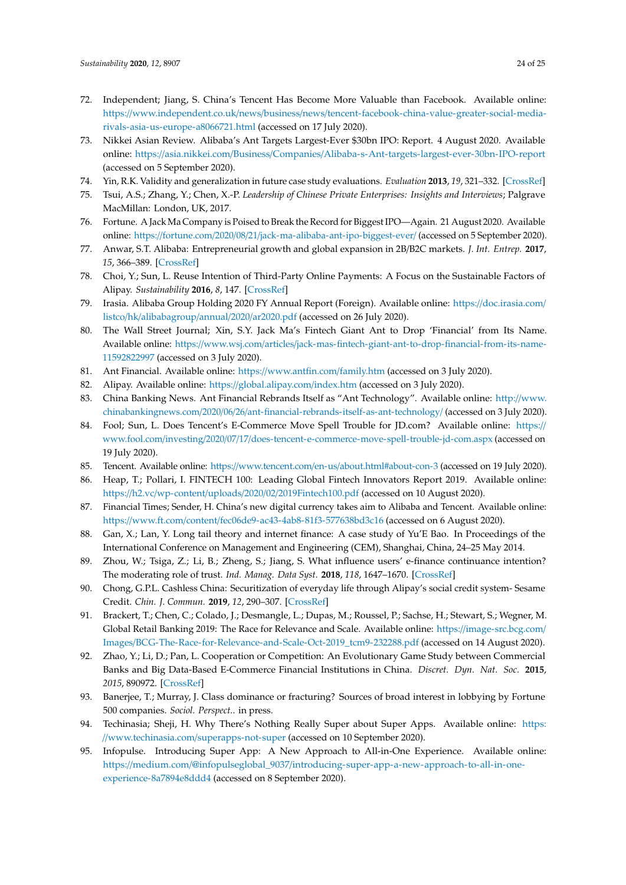- <span id="page-23-0"></span>72. Independent; Jiang, S. China's Tencent Has Become More Valuable than Facebook. Available online: https://www.independent.co.uk/news/business/news/[tencent-facebook-china-value-greater-social-media](https://www.independent.co.uk/news/business/news/tencent-facebook-china-value-greater-social-media-rivals-asia-us-europe-a8066721.html)[rivals-asia-us-europe-a8066721.html](https://www.independent.co.uk/news/business/news/tencent-facebook-china-value-greater-social-media-rivals-asia-us-europe-a8066721.html) (accessed on 17 July 2020).
- <span id="page-23-1"></span>73. Nikkei Asian Review. Alibaba's Ant Targets Largest-Ever \$30bn IPO: Report. 4 August 2020. Available online: https://asia.nikkei.com/Business/Companies/[Alibaba-s-Ant-targets-largest-ever-30bn-IPO-report](https://asia.nikkei.com/Business/Companies/Alibaba-s-Ant-targets-largest-ever-30bn-IPO-report) (accessed on 5 September 2020).
- <span id="page-23-2"></span>74. Yin, R.K. Validity and generalization in future case study evaluations. *Evaluation* **2013**, *19*, 321–332. [\[CrossRef\]](http://dx.doi.org/10.1177/1356389013497081)
- <span id="page-23-3"></span>75. Tsui, A.S.; Zhang, Y.; Chen, X.-P. *Leadership of Chinese Private Enterprises: Insights and Interviews*; Palgrave MacMillan: London, UK, 2017.
- <span id="page-23-4"></span>76. Fortune. A Jack Ma Company is Poised to Break the Record for Biggest IPO—Again. 21 August 2020. Available online: https://fortune.com/2020/08/21/[jack-ma-alibaba-ant-ipo-biggest-ever](https://fortune.com/2020/08/21/jack-ma-alibaba-ant-ipo-biggest-ever/)/ (accessed on 5 September 2020).
- <span id="page-23-5"></span>77. Anwar, S.T. Alibaba: Entrepreneurial growth and global expansion in 2B/B2C markets. *J. Int. Entrep.* **2017**, *15*, 366–389. [\[CrossRef\]](http://dx.doi.org/10.1007/s10843-017-0207-2)
- <span id="page-23-6"></span>78. Choi, Y.; Sun, L. Reuse Intention of Third-Party Online Payments: A Focus on the Sustainable Factors of Alipay. *Sustainability* **2016**, *8*, 147. [\[CrossRef\]](http://dx.doi.org/10.3390/su8020147)
- <span id="page-23-7"></span>79. Irasia. Alibaba Group Holding 2020 FY Annual Report (Foreign). Available online: https://[doc.irasia.com](https://doc.irasia.com/listco/hk/alibabagroup/annual/2020/ar2020.pdf)/ listco/hk/[alibabagroup](https://doc.irasia.com/listco/hk/alibabagroup/annual/2020/ar2020.pdf)/annual/2020/ar2020.pdf (accessed on 26 July 2020).
- <span id="page-23-8"></span>80. The Wall Street Journal; Xin, S.Y. Jack Ma's Fintech Giant Ant to Drop 'Financial' from Its Name. Available online: https://www.wsj.com/articles/[jack-mas-fintech-giant-ant-to-drop-financial-from-its-name-](https://www.wsj.com/articles/jack-mas-fintech-giant-ant-to-drop-financial-from-its-name-11592822997)[11592822997](https://www.wsj.com/articles/jack-mas-fintech-giant-ant-to-drop-financial-from-its-name-11592822997) (accessed on 3 July 2020).
- <span id="page-23-9"></span>81. Ant Financial. Available online: https://[www.antfin.com](https://www.antfin.com/family.htm)/family.htm (accessed on 3 July 2020).
- <span id="page-23-10"></span>82. Alipay. Available online: https://[global.alipay.com](https://global.alipay.com/index.htm)/index.htm (accessed on 3 July 2020).
- <span id="page-23-11"></span>83. China Banking News. Ant Financial Rebrands Itself as "Ant Technology". Available online: http://[www.](http://www.chinabankingnews.com/2020/06/26/ant-financial-rebrands-itself-as-ant-technology/) chinabankingnews.com/2020/06/26/[ant-financial-rebrands-itself-as-ant-technology](http://www.chinabankingnews.com/2020/06/26/ant-financial-rebrands-itself-as-ant-technology/)/ (accessed on 3 July 2020).
- <span id="page-23-12"></span>84. Fool; Sun, L. Does Tencent's E-Commerce Move Spell Trouble for JD.com? Available online: [https:](https://www.fool.com/investing/2020/07/17/does-tencent-e-commerce-move-spell-trouble-jd-com.aspx)// www.fool.com/investing/2020/07/17/[does-tencent-e-commerce-move-spell-trouble-jd-com.aspx](https://www.fool.com/investing/2020/07/17/does-tencent-e-commerce-move-spell-trouble-jd-com.aspx) (accessed on 19 July 2020).
- <span id="page-23-13"></span>85. Tencent. Available online: https://www.tencent.com/en-us/[about.html#about-con-3](https://www.tencent.com/en-us/about.html#about-con-3) (accessed on 19 July 2020).
- <span id="page-23-14"></span>86. Heap, T.; Pollari, I. FINTECH 100: Leading Global Fintech Innovators Report 2019. Available online: https://h2.vc/wp-content/uploads/2020/02/[2019Fintech100.pdf](https://h2.vc/wp-content/uploads/2020/02/2019Fintech100.pdf) (accessed on 10 August 2020).
- <span id="page-23-15"></span>87. Financial Times; Sender, H. China's new digital currency takes aim to Alibaba and Tencent. Available online: https://www.ft.com/content/[fec06de9-ac43-4ab8-81f3-577638bd3c16](https://www.ft.com/content/fec06de9-ac43-4ab8-81f3-577638bd3c16) (accessed on 6 August 2020).
- <span id="page-23-16"></span>88. Gan, X.; Lan, Y. Long tail theory and internet finance: A case study of Yu'E Bao. In Proceedings of the International Conference on Management and Engineering (CEM), Shanghai, China, 24–25 May 2014.
- <span id="page-23-17"></span>89. Zhou, W.; Tsiga, Z.; Li, B.; Zheng, S.; Jiang, S. What influence users' e-finance continuance intention? The moderating role of trust. *Ind. Manag. Data Syst.* **2018**, *118*, 1647–1670. [\[CrossRef\]](http://dx.doi.org/10.1108/IMDS-12-2017-0602)
- <span id="page-23-18"></span>90. Chong, G.P.L. Cashless China: Securitization of everyday life through Alipay's social credit system- Sesame Credit. *Chin. J. Commun.* **2019**, *12*, 290–307. [\[CrossRef\]](http://dx.doi.org/10.1080/17544750.2019.1583261)
- <span id="page-23-19"></span>91. Brackert, T.; Chen, C.; Colado, J.; Desmangle, L.; Dupas, M.; Roussel, P.; Sachse, H.; Stewart, S.; Wegner, M. Global Retail Banking 2019: The Race for Relevance and Scale. Available online: https://[image-src.bcg.com](https://image-src.bcg.com/Images/BCG-The-Race-for-Relevance-and-Scale-Oct-2019_tcm9-232288.pdf)/ Images/[BCG-The-Race-for-Relevance-and-Scale-Oct-2019\\_tcm9-232288.pdf](https://image-src.bcg.com/Images/BCG-The-Race-for-Relevance-and-Scale-Oct-2019_tcm9-232288.pdf) (accessed on 14 August 2020).
- <span id="page-23-20"></span>92. Zhao, Y.; Li, D.; Pan, L. Cooperation or Competition: An Evolutionary Game Study between Commercial Banks and Big Data-Based E-Commerce Financial Institutions in China. *Discret. Dyn. Nat. Soc.* **2015**, *2015*, 890972. [\[CrossRef\]](http://dx.doi.org/10.1155/2015/890972)
- <span id="page-23-21"></span>93. Banerjee, T.; Murray, J. Class dominance or fracturing? Sources of broad interest in lobbying by Fortune 500 companies. *Sociol. Perspect.*. in press.
- <span id="page-23-22"></span>94. Techinasia; Sheji, H. Why There's Nothing Really Super about Super Apps. Available online: [https:](https://www.techinasia.com/superapps-not-super) //www.techinasia.com/[superapps-not-super](https://www.techinasia.com/superapps-not-super) (accessed on 10 September 2020).
- <span id="page-23-23"></span>95. Infopulse. Introducing Super App: A New Approach to All-in-One Experience. Available online: https://medium.com/@infopulseglobal\_9037/[introducing-super-app-a-new-approach-to-all-in-one](https://medium.com/@infopulseglobal_9037/introducing-super-app-a-new-approach-to-all-in-one-experience-8a7894e8ddd4)[experience-8a7894e8ddd4](https://medium.com/@infopulseglobal_9037/introducing-super-app-a-new-approach-to-all-in-one-experience-8a7894e8ddd4) (accessed on 8 September 2020).